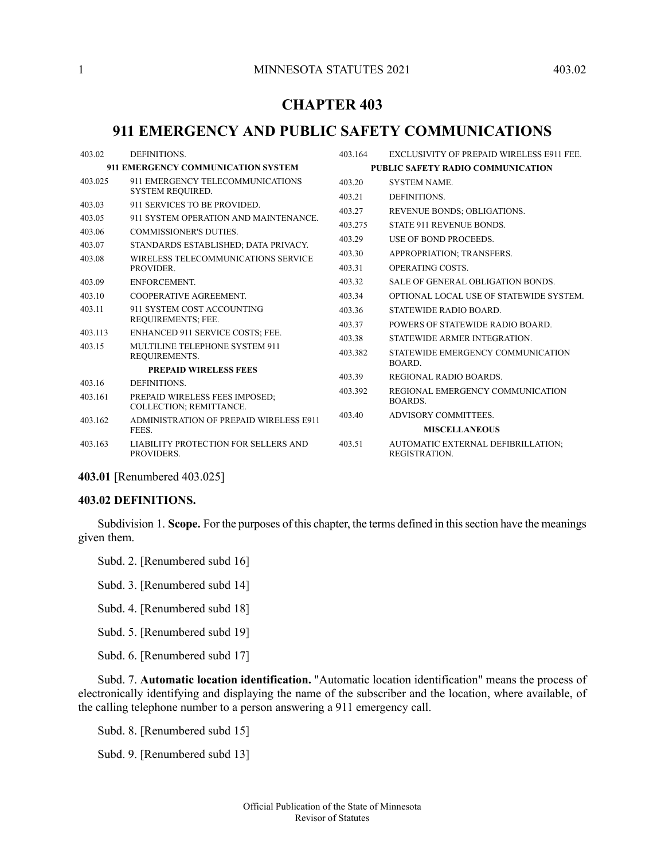# **CHAPTER 403**

# **911 EMERGENCY AND PUBLIC SAFETY COMMUNICATIONS**

| DEFINITIONS.                                              | 403.164                                                                                                                                                                                                                                                                                                                                                                     | <b>EXCLUSIVITY OF PREPAID WIRELESS E911 FEE.</b>    |
|-----------------------------------------------------------|-----------------------------------------------------------------------------------------------------------------------------------------------------------------------------------------------------------------------------------------------------------------------------------------------------------------------------------------------------------------------------|-----------------------------------------------------|
| 911 EMERGENCY COMMUNICATION SYSTEM                        |                                                                                                                                                                                                                                                                                                                                                                             | PUBLIC SAFETY RADIO COMMUNICATION                   |
| 911 EMERGENCY TELECOMMUNICATIONS                          | 403.20                                                                                                                                                                                                                                                                                                                                                                      | <b>SYSTEM NAME.</b>                                 |
|                                                           | 403.21                                                                                                                                                                                                                                                                                                                                                                      | DEFINITIONS.                                        |
|                                                           | 403.27                                                                                                                                                                                                                                                                                                                                                                      | REVENUE BONDS; OBLIGATIONS.                         |
|                                                           | 403.275                                                                                                                                                                                                                                                                                                                                                                     | <b>STATE 911 REVENUE BONDS.</b>                     |
|                                                           | 403.29                                                                                                                                                                                                                                                                                                                                                                      | USE OF BOND PROCEEDS.                               |
|                                                           | 403.30                                                                                                                                                                                                                                                                                                                                                                      | APPROPRIATION; TRANSFERS.                           |
| PROVIDER.                                                 | 403.31                                                                                                                                                                                                                                                                                                                                                                      | <b>OPERATING COSTS.</b>                             |
| ENFORCEMENT.                                              | 403.32                                                                                                                                                                                                                                                                                                                                                                      | <b>SALE OF GENERAL OBLIGATION BONDS.</b>            |
| COOPERATIVE AGREEMENT.                                    | 403.34                                                                                                                                                                                                                                                                                                                                                                      | OPTIONAL LOCAL USE OF STATEWIDE SYSTEM.             |
| 911 SYSTEM COST ACCOUNTING                                | 403.36                                                                                                                                                                                                                                                                                                                                                                      | STATEWIDE RADIO BOARD.                              |
|                                                           | 403.37                                                                                                                                                                                                                                                                                                                                                                      | POWERS OF STATEWIDE RADIO BOARD.                    |
|                                                           | 403.38                                                                                                                                                                                                                                                                                                                                                                      | STATEWIDE ARMER INTEGRATION.                        |
| REQUIREMENTS.                                             | 403.382                                                                                                                                                                                                                                                                                                                                                                     | STATEWIDE EMERGENCY COMMUNICATION<br>BOARD.         |
| <b>PREPAID WIRELESS FEES</b>                              |                                                                                                                                                                                                                                                                                                                                                                             |                                                     |
| DEFINITIONS.                                              |                                                                                                                                                                                                                                                                                                                                                                             | REGIONAL RADIO BOARDS.                              |
| PREPAID WIRELESS FEES IMPOSED:                            |                                                                                                                                                                                                                                                                                                                                                                             | REGIONAL EMERGENCY COMMUNICATION<br>BOARDS.         |
|                                                           | 403.40                                                                                                                                                                                                                                                                                                                                                                      | ADVISORY COMMITTEES.                                |
| FEES.                                                     |                                                                                                                                                                                                                                                                                                                                                                             | <b>MISCELLANEOUS</b>                                |
| <b>LIABILITY PROTECTION FOR SELLERS AND</b><br>PROVIDERS. | 403.51                                                                                                                                                                                                                                                                                                                                                                      | AUTOMATIC EXTERNAL DEFIBRILLATION;<br>REGISTRATION. |
|                                                           | SYSTEM REQUIRED.<br>911 SERVICES TO BE PROVIDED.<br>911 SYSTEM OPERATION AND MAINTENANCE.<br><b>COMMISSIONER'S DUTIES.</b><br>STANDARDS ESTABLISHED; DATA PRIVACY.<br>WIRELESS TELECOMMUNICATIONS SERVICE<br>REQUIREMENTS; FEE.<br>ENHANCED 911 SERVICE COSTS; FEE.<br>MULTILINE TELEPHONE SYSTEM 911<br>COLLECTION; REMITTANCE.<br>ADMINISTRATION OF PREPAID WIRELESS E911 | 403.39<br>403.392                                   |

<span id="page-0-0"></span>**403.01** [Renumbered 403.025]

#### **403.02 DEFINITIONS.**

Subdivision 1. **Scope.** For the purposes of this chapter, the terms defined in thissection have the meanings given them.

Subd. 2. [Renumbered subd 16]

Subd. 3. [Renumbered subd 14]

Subd. 4. [Renumbered subd 18]

Subd. 5. [Renumbered subd 19]

Subd. 6. [Renumbered subd 17]

Subd. 7. **Automatic location identification.** "Automatic location identification" means the process of electronically identifying and displaying the name of the subscriber and the location, where available, of the calling telephone number to a person answering a 911 emergency call.

Subd. 8. [Renumbered subd 15]

Subd. 9. [Renumbered subd 13]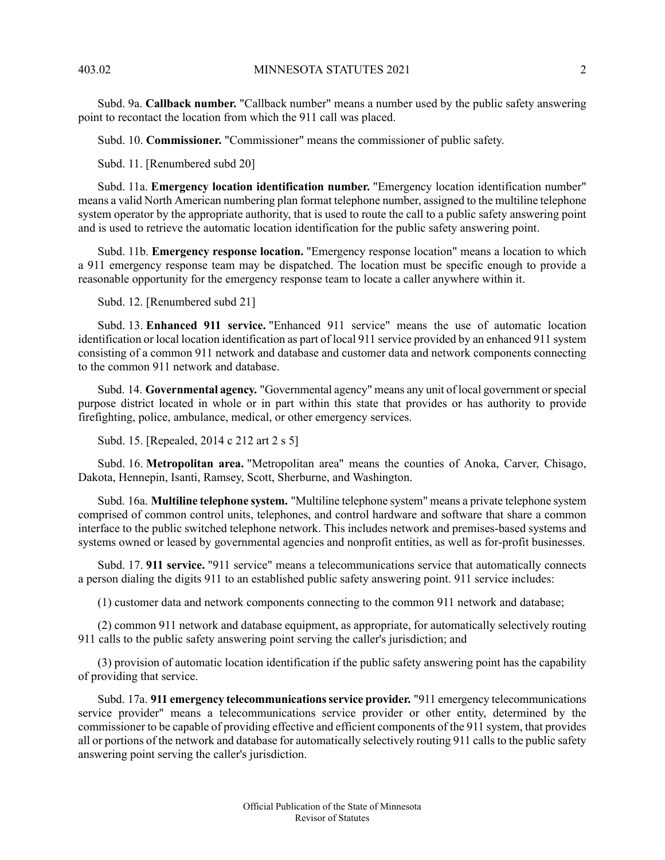Subd. 9a. **Callback number.** "Callback number" means a number used by the public safety answering point to recontact the location from which the 911 call was placed.

Subd. 10. **Commissioner.** "Commissioner" means the commissioner of public safety.

Subd. 11. [Renumbered subd 20]

Subd. 11a. **Emergency location identification number.** "Emergency location identification number" means a valid North American numbering plan format telephone number, assigned to the multiline telephone system operator by the appropriate authority, that is used to route the call to a public safety answering point and is used to retrieve the automatic location identification for the public safety answering point.

Subd. 11b. **Emergency response location.** "Emergency response location" means a location to which a 911 emergency response team may be dispatched. The location must be specific enough to provide a reasonable opportunity for the emergency response team to locate a caller anywhere within it.

Subd. 12. [Renumbered subd 21]

Subd. 13. **Enhanced 911 service.** "Enhanced 911 service" means the use of automatic location identification or local location identification as part of local 911 service provided by an enhanced 911 system consisting of a common 911 network and database and customer data and network components connecting to the common 911 network and database.

Subd. 14. **Governmental agency.** "Governmental agency" means any unit of local government orspecial purpose district located in whole or in part within this state that provides or has authority to provide firefighting, police, ambulance, medical, or other emergency services.

Subd. 15. [Repealed, 2014 c 212 art 2 s 5]

Subd. 16. **Metropolitan area.** "Metropolitan area" means the counties of Anoka, Carver, Chisago, Dakota, Hennepin, Isanti, Ramsey, Scott, Sherburne, and Washington.

Subd. 16a. **Multiline telephone system.** "Multiline telephone system" means a private telephone system comprised of common control units, telephones, and control hardware and software that share a common interface to the public switched telephone network. This includes network and premises-based systems and systems owned or leased by governmental agencies and nonprofit entities, as well as for-profit businesses.

Subd. 17. **911 service.** "911 service" means a telecommunications service that automatically connects a person dialing the digits 911 to an established public safety answering point. 911 service includes:

(1) customer data and network components connecting to the common 911 network and database;

(2) common 911 network and database equipment, as appropriate, for automatically selectively routing 911 calls to the public safety answering point serving the caller's jurisdiction; and

(3) provision of automatic location identification if the public safety answering point has the capability of providing that service.

Subd. 17a. **911 emergency telecommunicationsservice provider.** "911 emergency telecommunications service provider" means a telecommunications service provider or other entity, determined by the commissioner to be capable of providing effective and efficient components of the 911 system, that provides all or portions of the network and database for automatically selectively routing 911 calls to the public safety answering point serving the caller's jurisdiction.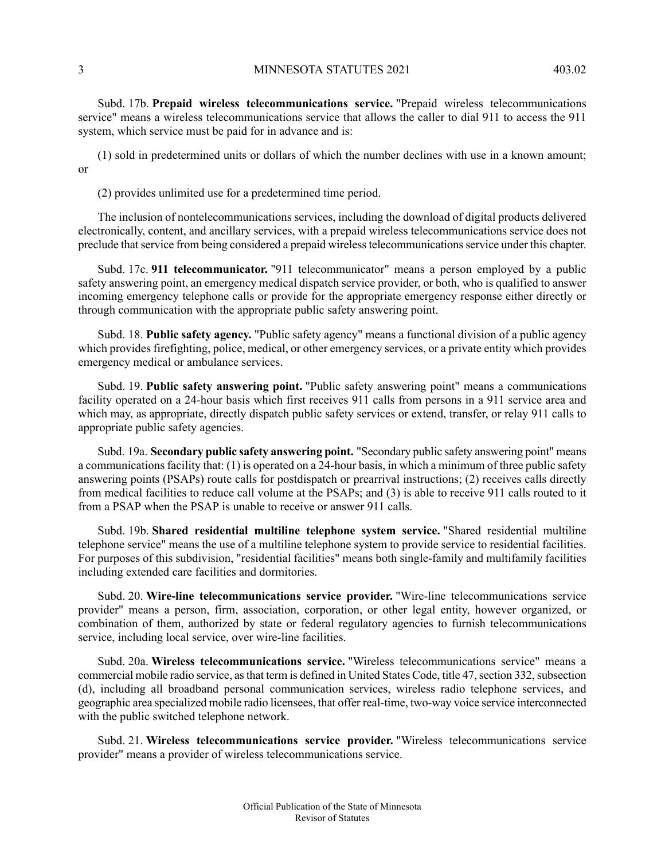Subd. 17b. **Prepaid wireless telecommunications service.** "Prepaid wireless telecommunications service" means a wireless telecommunications service that allows the caller to dial 911 to access the 911 system, which service must be paid for in advance and is:

(1) sold in predetermined units or dollars of which the number declines with use in a known amount; or

(2) provides unlimited use for a predetermined time period.

The inclusion of nontelecommunications services, including the download of digital products delivered electronically, content, and ancillary services, with a prepaid wireless telecommunications service does not preclude that service from being considered a prepaid wireless telecommunications service under this chapter.

Subd. 17c. **911 telecommunicator.** "911 telecommunicator" means a person employed by a public safety answering point, an emergency medical dispatch service provider, or both, who is qualified to answer incoming emergency telephone calls or provide for the appropriate emergency response either directly or through communication with the appropriate public safety answering point.

Subd. 18. **Public safety agency.** "Public safety agency" means a functional division of a public agency which provides firefighting, police, medical, or other emergency services, or a private entity which provides emergency medical or ambulance services.

Subd. 19. **Public safety answering point.** "Public safety answering point" means a communications facility operated on a 24-hour basis which first receives 911 calls from persons in a 911 service area and which may, as appropriate, directly dispatch public safety services or extend, transfer, or relay 911 calls to appropriate public safety agencies.

Subd. 19a. **Secondary public safety answering point.** "Secondary public safety answering point" means a communications facility that: (1) is operated on a 24-hour basis, in which a minimum of three public safety answering points (PSAPs) route calls for postdispatch or prearrival instructions; (2) receives calls directly from medical facilities to reduce call volume at the PSAPs; and (3) is able to receive 911 calls routed to it from a PSAP when the PSAP is unable to receive or answer 911 calls.

Subd. 19b. **Shared residential multiline telephone system service.** "Shared residential multiline telephone service" means the use of a multiline telephone system to provide service to residential facilities. For purposes of this subdivision, "residential facilities" means both single-family and multifamily facilities including extended care facilities and dormitories.

Subd. 20. **Wire-line telecommunications service provider.** "Wire-line telecommunications service provider" means a person, firm, association, corporation, or other legal entity, however organized, or combination of them, authorized by state or federal regulatory agencies to furnish telecommunications service, including local service, over wire-line facilities.

Subd. 20a. **Wireless telecommunications service.** "Wireless telecommunications service" means a commercial mobile radio service, as that term is defined in United States Code, title 47, section 332, subsection (d), including all broadband personal communication services, wireless radio telephone services, and geographic area specialized mobile radio licensees, that offer real-time, two-way voice service interconnected with the public switched telephone network.

Subd. 21. **Wireless telecommunications service provider.** "Wireless telecommunications service provider" means a provider of wireless telecommunications service.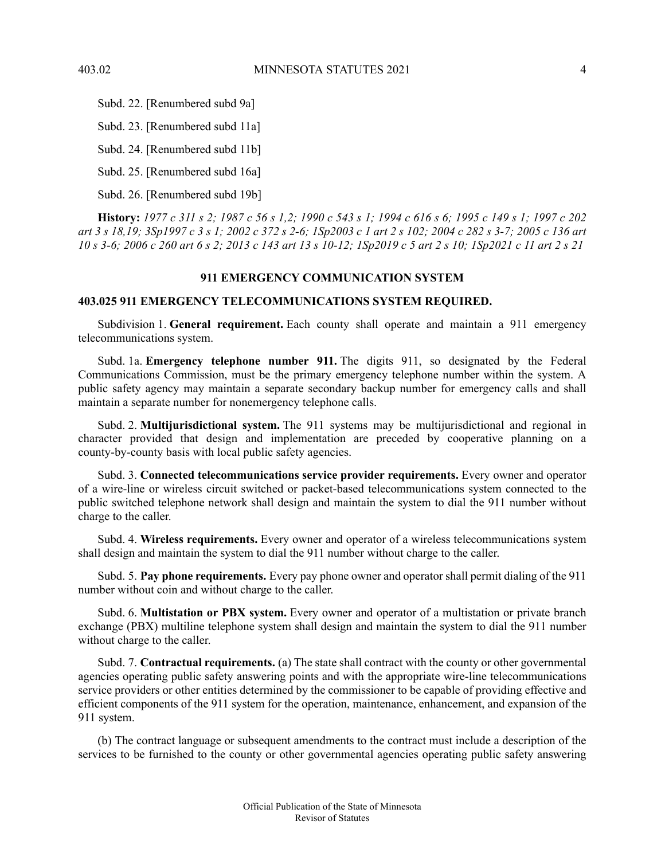Subd. 22. [Renumbered subd 9a]

Subd. 23. [Renumbered subd 11a]

Subd. 24. [Renumbered subd 11b]

Subd. 25. [Renumbered subd 16a]

Subd. 26. [Renumbered subd 19b]

<span id="page-3-0"></span>History: 1977 c 311 s 2; 1987 c 56 s 1,2; 1990 c 543 s 1; 1994 c 616 s 6; 1995 c 149 s 1; 1997 c 202 art 3 s 18,19; 3Sp1997 c 3 s 1; 2002 c 372 s 2-6; 1Sp2003 c 1 art 2 s 102; 2004 c 282 s 3-7; 2005 c 136 art 10 s 3-6; 2006 c 260 art 6 s 2; 2013 c 143 art 13 s 10-12; 1Sp2019 c 5 art 2 s 10; 1Sp2021 c 11 art 2 s 21

# **911 EMERGENCY COMMUNICATION SYSTEM**

### <span id="page-3-1"></span>**403.025 911 EMERGENCY TELECOMMUNICATIONS SYSTEM REQUIRED.**

Subdivision 1. **General requirement.** Each county shall operate and maintain a 911 emergency telecommunications system.

Subd. 1a. **Emergency telephone number 911.** The digits 911, so designated by the Federal Communications Commission, must be the primary emergency telephone number within the system. A public safety agency may maintain a separate secondary backup number for emergency calls and shall maintain a separate number for nonemergency telephone calls.

Subd. 2. **Multijurisdictional system.** The 911 systems may be multijurisdictional and regional in character provided that design and implementation are preceded by cooperative planning on a county-by-county basis with local public safety agencies.

Subd. 3. **Connected telecommunications service provider requirements.** Every owner and operator of a wire-line or wireless circuit switched or packet-based telecommunications system connected to the public switched telephone network shall design and maintain the system to dial the 911 number without charge to the caller.

Subd. 4. **Wireless requirements.** Every owner and operator of a wireless telecommunications system shall design and maintain the system to dial the 911 number without charge to the caller.

Subd. 5. **Pay phone requirements.** Every pay phone owner and operator shall permit dialing of the 911 number without coin and without charge to the caller.

Subd. 6. **Multistation or PBX system.** Every owner and operator of a multistation or private branch exchange (PBX) multiline telephone system shall design and maintain the system to dial the 911 number without charge to the caller.

Subd. 7. **Contractual requirements.** (a) The state shall contract with the county or other governmental agencies operating public safety answering points and with the appropriate wire-line telecommunications service providers or other entities determined by the commissioner to be capable of providing effective and efficient components of the 911 system for the operation, maintenance, enhancement, and expansion of the 911 system.

(b) The contract language or subsequent amendments to the contract must include a description of the services to be furnished to the county or other governmental agencies operating public safety answering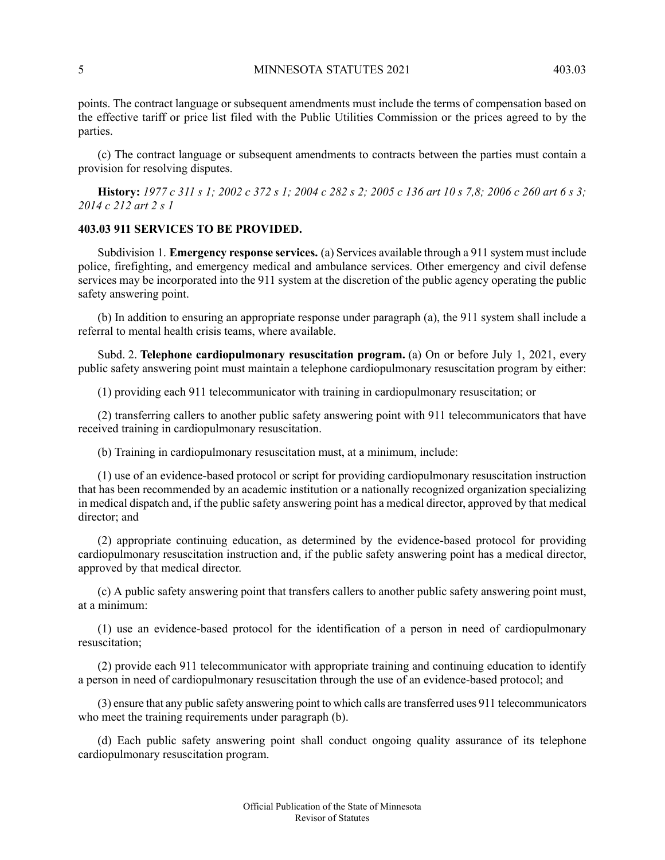points. The contract language or subsequent amendments must include the terms of compensation based on the effective tariff or price list filed with the Public Utilities Commission or the prices agreed to by the parties.

(c) The contract language or subsequent amendments to contracts between the parties must contain a provision for resolving disputes.

<span id="page-4-0"></span>**History:** 1977 c 311 s 1: 2002 c 372 s 1: 2004 c 282 s 2: 2005 c 136 art 10 s 7.8: 2006 c 260 art 6 s 3: *2014 c 212 art 2 s 1*

### **403.03 911 SERVICES TO BE PROVIDED.**

Subdivision 1. **Emergency response services.** (a) Services available through a 911 system must include police, firefighting, and emergency medical and ambulance services. Other emergency and civil defense services may be incorporated into the 911 system at the discretion of the public agency operating the public safety answering point.

(b) In addition to ensuring an appropriate response under paragraph (a), the 911 system shall include a referral to mental health crisis teams, where available.

Subd. 2. **Telephone cardiopulmonary resuscitation program.** (a) On or before July 1, 2021, every public safety answering point must maintain a telephone cardiopulmonary resuscitation program by either:

(1) providing each 911 telecommunicator with training in cardiopulmonary resuscitation; or

(2) transferring callers to another public safety answering point with 911 telecommunicators that have received training in cardiopulmonary resuscitation.

(b) Training in cardiopulmonary resuscitation must, at a minimum, include:

(1) use of an evidence-based protocol or script for providing cardiopulmonary resuscitation instruction that has been recommended by an academic institution or a nationally recognized organization specializing in medical dispatch and, if the public safety answering point has a medical director, approved by that medical director; and

(2) appropriate continuing education, as determined by the evidence-based protocol for providing cardiopulmonary resuscitation instruction and, if the public safety answering point has a medical director, approved by that medical director.

(c) A public safety answering point that transfers callers to another public safety answering point must, at a minimum:

(1) use an evidence-based protocol for the identification of a person in need of cardiopulmonary resuscitation;

(2) provide each 911 telecommunicator with appropriate training and continuing education to identify a person in need of cardiopulmonary resuscitation through the use of an evidence-based protocol; and

(3) ensure that any public safety answering point to which calls are transferred uses 911 telecommunicators who meet the training requirements under paragraph (b).

(d) Each public safety answering point shall conduct ongoing quality assurance of its telephone cardiopulmonary resuscitation program.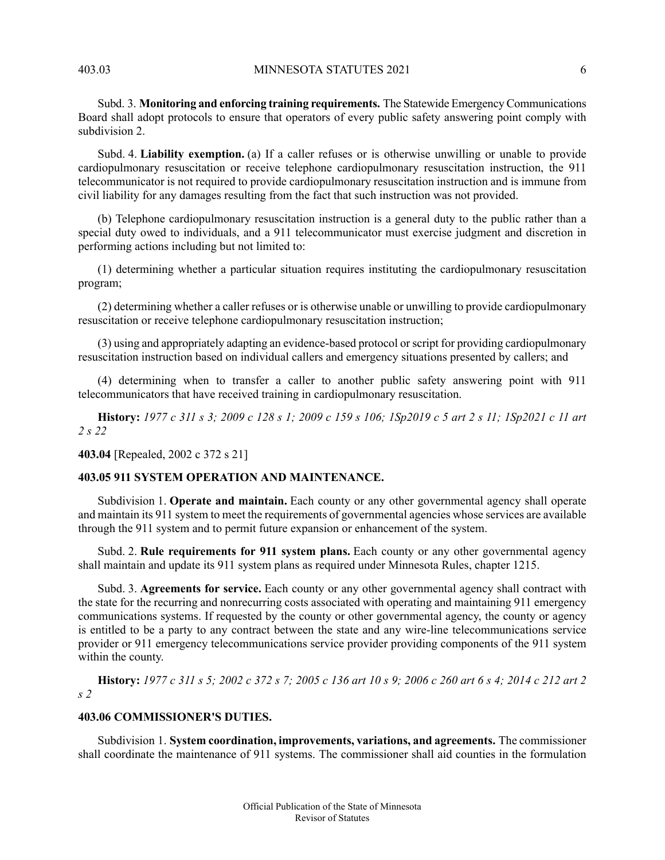Subd. 3. **Monitoring and enforcing training requirements.** The Statewide Emergency Communications Board shall adopt protocols to ensure that operators of every public safety answering point comply with subdivision 2.

Subd. 4. **Liability exemption.** (a) If a caller refuses or is otherwise unwilling or unable to provide cardiopulmonary resuscitation or receive telephone cardiopulmonary resuscitation instruction, the 911 telecommunicator is not required to provide cardiopulmonary resuscitation instruction and is immune from civil liability for any damages resulting from the fact that such instruction was not provided.

(b) Telephone cardiopulmonary resuscitation instruction is a general duty to the public rather than a special duty owed to individuals, and a 911 telecommunicator must exercise judgment and discretion in performing actions including but not limited to:

(1) determining whether a particular situation requires instituting the cardiopulmonary resuscitation program;

(2) determining whether a caller refuses or is otherwise unable or unwilling to provide cardiopulmonary resuscitation or receive telephone cardiopulmonary resuscitation instruction;

(3) using and appropriately adapting an evidence-based protocol orscript for providing cardiopulmonary resuscitation instruction based on individual callers and emergency situations presented by callers; and

(4) determining when to transfer a caller to another public safety answering point with 911 telecommunicators that have received training in cardiopulmonary resuscitation.

<span id="page-5-0"></span>History: 1977 c 311 s 3; 2009 c 128 s 1; 2009 c 159 s 106; 1Sp2019 c 5 art 2 s 11; 1Sp2021 c 11 art *2 s 22*

**403.04** [Repealed, 2002 c 372 s 21]

# **403.05 911 SYSTEM OPERATION AND MAINTENANCE.**

Subdivision 1. **Operate and maintain.** Each county or any other governmental agency shall operate and maintain its 911 system to meet the requirements of governmental agencies whose services are available through the 911 system and to permit future expansion or enhancement of the system.

Subd. 2. **Rule requirements for 911 system plans.** Each county or any other governmental agency shall maintain and update its 911 system plans as required under Minnesota Rules, chapter 1215.

<span id="page-5-1"></span>Subd. 3. **Agreements for service.** Each county or any other governmental agency shall contract with the state for the recurring and nonrecurring costs associated with operating and maintaining 911 emergency communications systems. If requested by the county or other governmental agency, the county or agency is entitled to be a party to any contract between the state and any wire-line telecommunications service provider or 911 emergency telecommunications service provider providing components of the 911 system within the county.

History: 1977 c 311 s 5; 2002 c 372 s 7; 2005 c 136 art 10 s 9; 2006 c 260 art 6 s 4; 2014 c 212 art 2 *s 2*

# **403.06 COMMISSIONER'S DUTIES.**

Subdivision 1. **System coordination, improvements, variations, and agreements.** The commissioner shall coordinate the maintenance of 911 systems. The commissioner shall aid counties in the formulation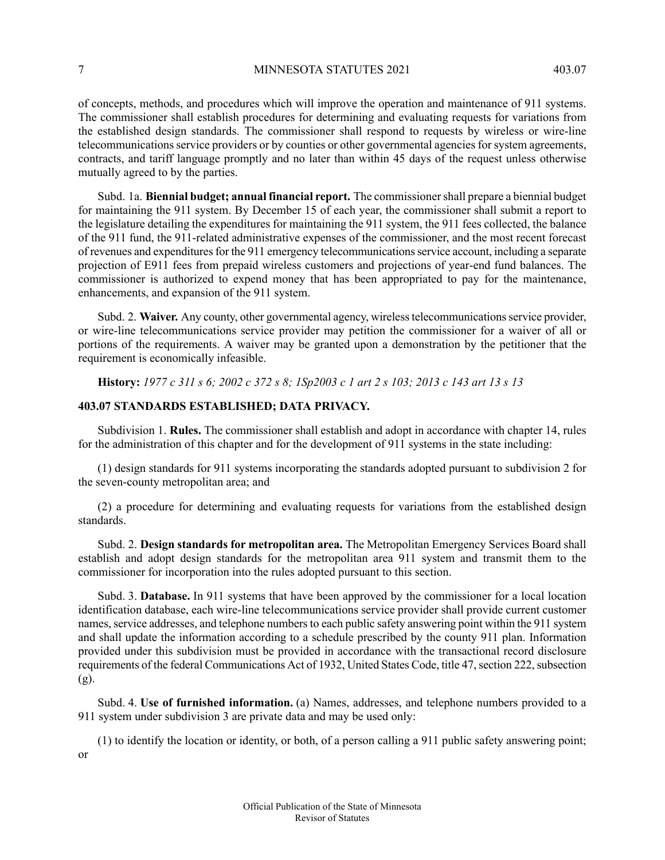of concepts, methods, and procedures which will improve the operation and maintenance of 911 systems. The commissioner shall establish procedures for determining and evaluating requests for variations from the established design standards. The commissioner shall respond to requests by wireless or wire-line telecommunications service providers or by counties or other governmental agencies for system agreements, contracts, and tariff language promptly and no later than within 45 days of the request unless otherwise mutually agreed to by the parties.

Subd. 1a. **Biennial budget; annual financial report.** The commissionershall prepare a biennial budget for maintaining the 911 system. By December 15 of each year, the commissioner shall submit a report to the legislature detailing the expenditures for maintaining the 911 system, the 911 fees collected, the balance of the 911 fund, the 911-related administrative expenses of the commissioner, and the most recent forecast of revenues and expenditures for the 911 emergency telecommunications service account, including a separate projection of E911 fees from prepaid wireless customers and projections of year-end fund balances. The commissioner is authorized to expend money that has been appropriated to pay for the maintenance, enhancements, and expansion of the 911 system.

<span id="page-6-0"></span>Subd. 2. Waiver. Any county, other governmental agency, wireless telecommunications service provider, or wire-line telecommunications service provider may petition the commissioner for a waiver of all or portions of the requirements. A waiver may be granted upon a demonstration by the petitioner that the requirement is economically infeasible.

History: 1977 c 311 s 6; 2002 c 372 s 8; 1Sp2003 c 1 art 2 s 103; 2013 c 143 art 13 s 13

### **403.07 STANDARDS ESTABLISHED; DATA PRIVACY.**

Subdivision 1. **Rules.** The commissioner shall establish and adopt in accordance with chapter 14, rules for the administration of this chapter and for the development of 911 systems in the state including:

(1) design standards for 911 systems incorporating the standards adopted pursuant to subdivision 2 for the seven-county metropolitan area; and

(2) a procedure for determining and evaluating requests for variations from the established design standards.

Subd. 2. **Design standards for metropolitan area.** The Metropolitan Emergency Services Board shall establish and adopt design standards for the metropolitan area 911 system and transmit them to the commissioner for incorporation into the rules adopted pursuant to this section.

Subd. 3. **Database.** In 911 systems that have been approved by the commissioner for a local location identification database, each wire-line telecommunications service provider shall provide current customer names, service addresses, and telephone numbers to each public safety answering point within the 911 system and shall update the information according to a schedule prescribed by the county 911 plan. Information provided under this subdivision must be provided in accordance with the transactional record disclosure requirements of the federal Communications Act of 1932, United States Code, title 47, section 222, subsection  $(g)$ .

Subd. 4. **Use of furnished information.** (a) Names, addresses, and telephone numbers provided to a 911 system under subdivision 3 are private data and may be used only:

(1) to identify the location or identity, or both, of a person calling a 911 public safety answering point; or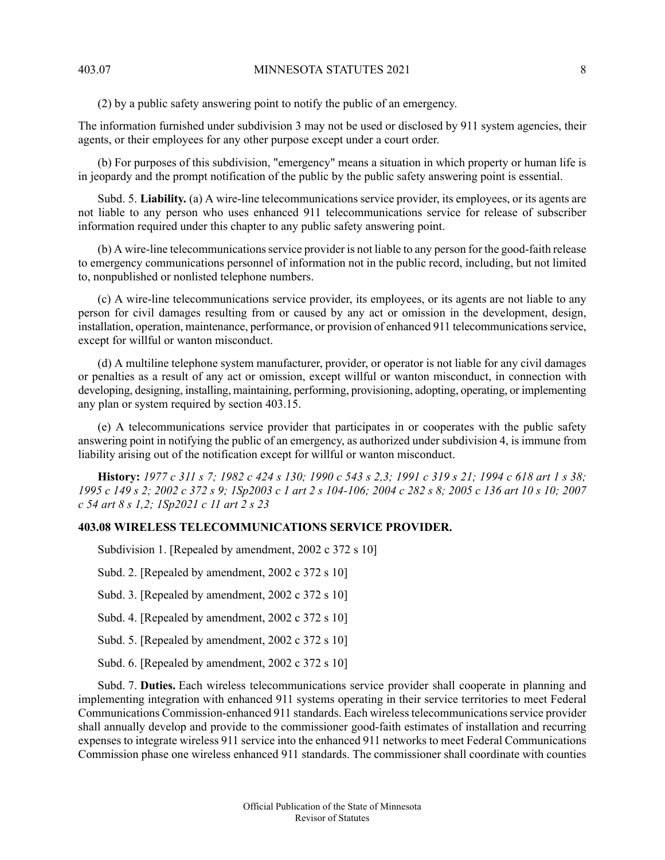(2) by a public safety answering point to notify the public of an emergency.

The information furnished under subdivision 3 may not be used or disclosed by 911 system agencies, their agents, or their employees for any other purpose except under a court order.

(b) For purposes of this subdivision, "emergency" means a situation in which property or human life is in jeopardy and the prompt notification of the public by the public safety answering point is essential.

Subd. 5. **Liability.** (a) A wire-line telecommunications service provider, its employees, or its agents are not liable to any person who uses enhanced 911 telecommunications service for release of subscriber information required under this chapter to any public safety answering point.

(b) A wire-line telecommunicationsservice provider is not liable to any person for the good-faith release to emergency communications personnel of information not in the public record, including, but not limited to, nonpublished or nonlisted telephone numbers.

(c) A wire-line telecommunications service provider, its employees, or its agents are not liable to any person for civil damages resulting from or caused by any act or omission in the development, design, installation, operation, maintenance, performance, or provision of enhanced 911 telecommunications service, except for willful or wanton misconduct.

(d) A multiline telephone system manufacturer, provider, or operator is not liable for any civil damages or penalties as a result of any act or omission, except willful or wanton misconduct, in connection with developing, designing, installing, maintaining, performing, provisioning, adopting, operating, or implementing any plan or system required by section 403.15.

(e) A telecommunications service provider that participates in or cooperates with the public safety answering point in notifying the public of an emergency, as authorized under subdivision 4, is immune from liability arising out of the notification except for willful or wanton misconduct.

<span id="page-7-0"></span>History: 1977 c 311 s 7; 1982 c 424 s 130; 1990 c 543 s 2,3; 1991 c 319 s 21; 1994 c 618 art 1 s 38; 1995 c 149 s 2; 2002 c 372 s 9; 1Sp2003 c 1 art 2 s 104-106; 2004 c 282 s 8; 2005 c 136 art 10 s 10; 2007 *c 54 art 8 s 1,2; 1Sp2021 c 11 art 2 s 23*

# **403.08 WIRELESS TELECOMMUNICATIONS SERVICE PROVIDER.**

Subdivision 1. [Repealed by amendment, 2002 c 372 s 10]

Subd. 2. [Repealed by amendment, 2002 c 372 s 10]

Subd. 3. [Repealed by amendment, 2002 c 372 s 10]

Subd. 4. [Repealed by amendment, 2002 c 372 s 10]

Subd. 5. [Repealed by amendment, 2002 c 372 s 10]

Subd. 6. [Repealed by amendment, 2002 c 372 s 10]

Subd. 7. **Duties.** Each wireless telecommunications service provider shall cooperate in planning and implementing integration with enhanced 911 systems operating in their service territories to meet Federal Communications Commission-enhanced 911 standards. Each wireless telecommunications service provider shall annually develop and provide to the commissioner good-faith estimates of installation and recurring expenses to integrate wireless 911 service into the enhanced 911 networks to meet Federal Communications Commission phase one wireless enhanced 911 standards. The commissioner shall coordinate with counties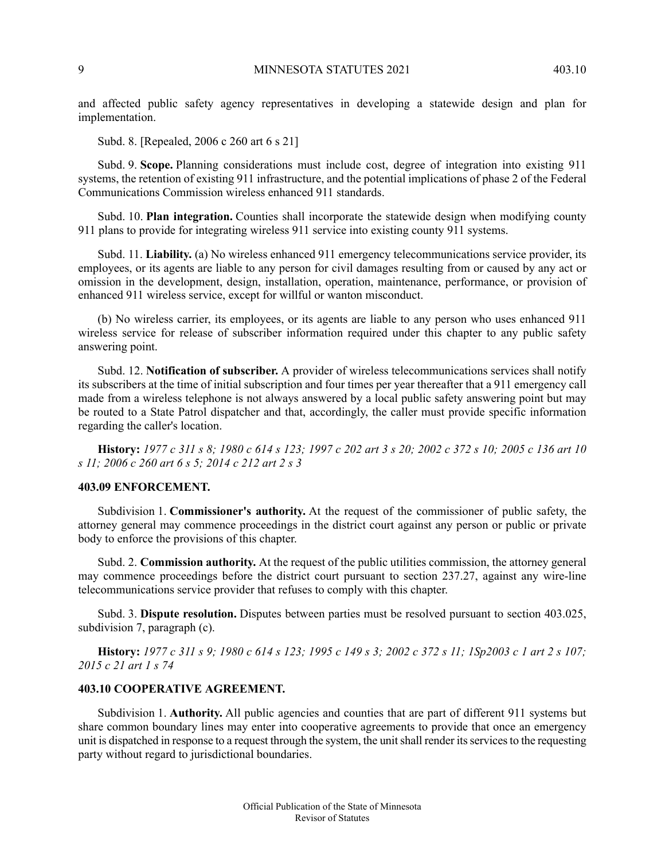and affected public safety agency representatives in developing a statewide design and plan for implementation.

Subd. 8. [Repealed, 2006 c 260 art 6 s 21]

Subd. 9. **Scope.** Planning considerations must include cost, degree of integration into existing 911 systems, the retention of existing 911 infrastructure, and the potential implications of phase 2 of the Federal Communications Commission wireless enhanced 911 standards.

Subd. 10. **Plan integration.** Counties shall incorporate the statewide design when modifying county 911 plans to provide for integrating wireless 911 service into existing county 911 systems.

Subd. 11. **Liability.** (a) No wireless enhanced 911 emergency telecommunications service provider, its employees, or its agents are liable to any person for civil damages resulting from or caused by any act or omission in the development, design, installation, operation, maintenance, performance, or provision of enhanced 911 wireless service, except for willful or wanton misconduct.

(b) No wireless carrier, its employees, or its agents are liable to any person who uses enhanced 911 wireless service for release of subscriber information required under this chapter to any public safety answering point.

Subd. 12. **Notification of subscriber.** A provider of wireless telecommunications services shall notify its subscribers at the time of initial subscription and four times per year thereafter that a 911 emergency call made from a wireless telephone is not always answered by a local public safety answering point but may be routed to a State Patrol dispatcher and that, accordingly, the caller must provide specific information regarding the caller's location.

<span id="page-8-0"></span>History: 1977 c 311 s 8; 1980 c 614 s 123; 1997 c 202 art 3 s 20; 2002 c 372 s 10; 2005 c 136 art 10 *s 11; 2006 c 260 art 6 s 5; 2014 c 212 art 2 s 3*

#### **403.09 ENFORCEMENT.**

Subdivision 1. **Commissioner's authority.** At the request of the commissioner of public safety, the attorney general may commence proceedings in the district court against any person or public or private body to enforce the provisions of this chapter.

Subd. 2. **Commission authority.** At the request of the public utilities commission, the attorney general may commence proceedings before the district court pursuant to section 237.27, against any wire-line telecommunications service provider that refuses to comply with this chapter.

<span id="page-8-1"></span>Subd. 3. **Dispute resolution.** Disputes between parties must be resolved pursuant to section 403.025, subdivision 7, paragraph (c).

History: 1977 c 311 s 9; 1980 c 614 s 123; 1995 c 149 s 3; 2002 c 372 s 11; 1Sp2003 c 1 art 2 s 107; *2015 c 21 art 1 s 74*

# **403.10 COOPERATIVE AGREEMENT.**

Subdivision 1. **Authority.** All public agencies and counties that are part of different 911 systems but share common boundary lines may enter into cooperative agreements to provide that once an emergency unit is dispatched in response to a request through the system, the unit shall render its services to the requesting party without regard to jurisdictional boundaries.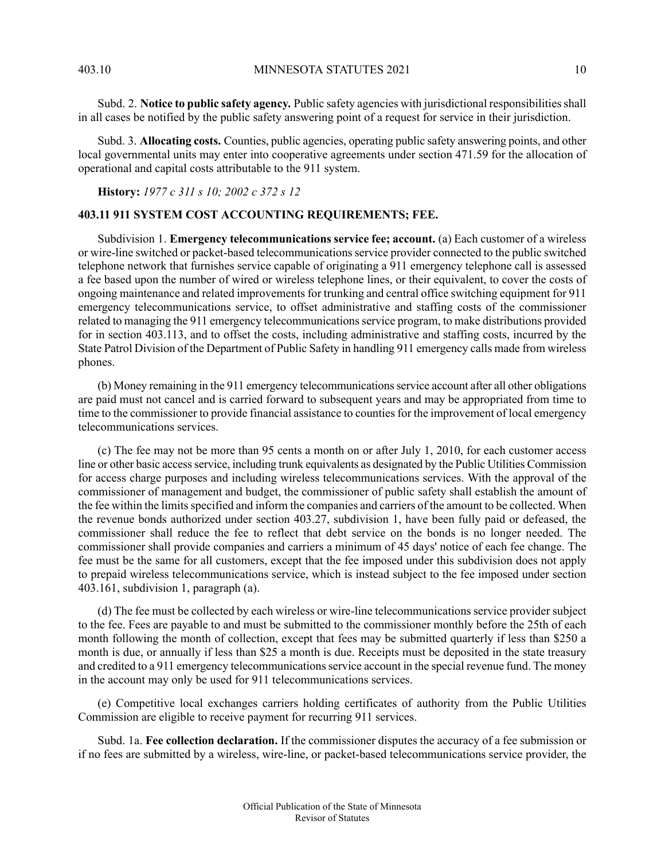Subd. 2. **Notice to public safety agency.** Public safety agencies with jurisdictional responsibilitiesshall in all cases be notified by the public safety answering point of a request for service in their jurisdiction.

Subd. 3. **Allocating costs.** Counties, public agencies, operating public safety answering points, and other local governmental units may enter into cooperative agreements under section 471.59 for the allocation of operational and capital costs attributable to the 911 system.

<span id="page-9-0"></span>**History:** *1977 c 311 s 10; 2002 c 372 s 12*

### **403.11 911 SYSTEM COST ACCOUNTING REQUIREMENTS; FEE.**

Subdivision 1. **Emergency telecommunications service fee; account.** (a) Each customer of a wireless or wire-line switched or packet-based telecommunications service provider connected to the public switched telephone network that furnishes service capable of originating a 911 emergency telephone call is assessed a fee based upon the number of wired or wireless telephone lines, or their equivalent, to cover the costs of ongoing maintenance and related improvements for trunking and central office switching equipment for 911 emergency telecommunications service, to offset administrative and staffing costs of the commissioner related to managing the 911 emergency telecommunicationsservice program, to make distributions provided for in section 403.113, and to offset the costs, including administrative and staffing costs, incurred by the State Patrol Division of the Department of Public Safety in handling 911 emergency calls made from wireless phones.

(b) Money remaining in the 911 emergency telecommunicationsservice account after all other obligations are paid must not cancel and is carried forward to subsequent years and may be appropriated from time to time to the commissioner to provide financial assistance to counties for the improvement of local emergency telecommunications services.

(c) The fee may not be more than 95 cents a month on or after July 1, 2010, for each customer access line or other basic accessservice, including trunk equivalents as designated by the Public Utilities Commission for access charge purposes and including wireless telecommunications services. With the approval of the commissioner of management and budget, the commissioner of public safety shall establish the amount of the fee within the limits specified and inform the companies and carriers of the amount to be collected. When the revenue bonds authorized under section 403.27, subdivision 1, have been fully paid or defeased, the commissioner shall reduce the fee to reflect that debt service on the bonds is no longer needed. The commissioner shall provide companies and carriers a minimum of 45 days' notice of each fee change. The fee must be the same for all customers, except that the fee imposed under this subdivision does not apply to prepaid wireless telecommunications service, which is instead subject to the fee imposed under section 403.161, subdivision 1, paragraph (a).

(d) The fee must be collected by each wireless or wire-line telecommunications service provider subject to the fee. Fees are payable to and must be submitted to the commissioner monthly before the 25th of each month following the month of collection, except that fees may be submitted quarterly if less than \$250 a month is due, or annually if less than \$25 a month is due. Receipts must be deposited in the state treasury and credited to a 911 emergency telecommunications service account in the special revenue fund. The money in the account may only be used for 911 telecommunications services.

(e) Competitive local exchanges carriers holding certificates of authority from the Public Utilities Commission are eligible to receive payment for recurring 911 services.

Subd. 1a. **Fee collection declaration.** If the commissioner disputes the accuracy of a fee submission or if no fees are submitted by a wireless, wire-line, or packet-based telecommunications service provider, the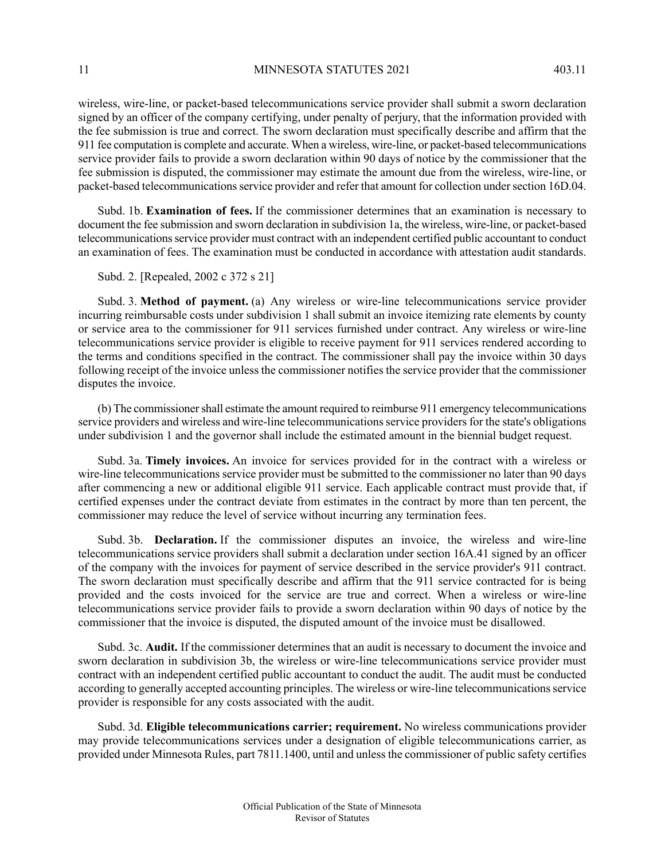11 MINNESOTA STATUTES 2021 403.11

wireless, wire-line, or packet-based telecommunications service provider shall submit a sworn declaration signed by an officer of the company certifying, under penalty of perjury, that the information provided with the fee submission is true and correct. The sworn declaration must specifically describe and affirm that the 911 fee computation is complete and accurate. When a wireless, wire-line, or packet-based telecommunications service provider fails to provide a sworn declaration within 90 days of notice by the commissioner that the fee submission is disputed, the commissioner may estimate the amount due from the wireless, wire-line, or packet-based telecommunications service provider and refer that amount for collection under section 16D.04.

Subd. 1b. **Examination of fees.** If the commissioner determines that an examination is necessary to document the fee submission and sworn declaration in subdivision 1a, the wireless, wire-line, or packet-based telecommunicationsservice provider must contract with an independent certified public accountant to conduct an examination of fees. The examination must be conducted in accordance with attestation audit standards.

Subd. 2. [Repealed, 2002 c 372 s 21]

Subd. 3. **Method of payment.** (a) Any wireless or wire-line telecommunications service provider incurring reimbursable costs under subdivision 1 shall submit an invoice itemizing rate elements by county or service area to the commissioner for 911 services furnished under contract. Any wireless or wire-line telecommunications service provider is eligible to receive payment for 911 services rendered according to the terms and conditions specified in the contract. The commissioner shall pay the invoice within 30 days following receipt of the invoice unless the commissioner notifies the service provider that the commissioner disputes the invoice.

(b) The commissionershall estimate the amount required to reimburse 911 emergency telecommunications service providers and wireless and wire-line telecommunications service providers for the state's obligations under subdivision 1 and the governor shall include the estimated amount in the biennial budget request.

Subd. 3a. **Timely invoices.** An invoice for services provided for in the contract with a wireless or wire-line telecommunications service provider must be submitted to the commissioner no later than 90 days after commencing a new or additional eligible 911 service. Each applicable contract must provide that, if certified expenses under the contract deviate from estimates in the contract by more than ten percent, the commissioner may reduce the level of service without incurring any termination fees.

Subd. 3b. **Declaration.** If the commissioner disputes an invoice, the wireless and wire-line telecommunications service providers shall submit a declaration under section 16A.41 signed by an officer of the company with the invoices for payment of service described in the service provider's 911 contract. The sworn declaration must specifically describe and affirm that the 911 service contracted for is being provided and the costs invoiced for the service are true and correct. When a wireless or wire-line telecommunications service provider fails to provide a sworn declaration within 90 days of notice by the commissioner that the invoice is disputed, the disputed amount of the invoice must be disallowed.

Subd. 3c. **Audit.** If the commissioner determines that an audit is necessary to document the invoice and sworn declaration in subdivision 3b, the wireless or wire-line telecommunications service provider must contract with an independent certified public accountant to conduct the audit. The audit must be conducted according to generally accepted accounting principles. The wireless or wire-line telecommunications service provider is responsible for any costs associated with the audit.

Subd. 3d. **Eligible telecommunications carrier; requirement.** No wireless communications provider may provide telecommunications services under a designation of eligible telecommunications carrier, as provided under Minnesota Rules, part 7811.1400, until and unlessthe commissioner of public safety certifies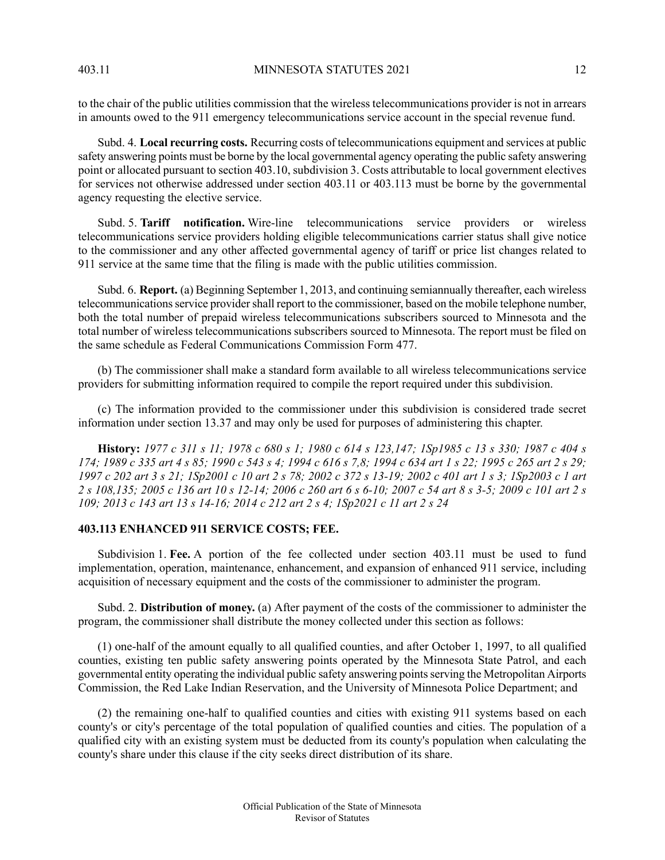to the chair of the public utilities commission that the wireless telecommunications provider is not in arrears in amounts owed to the 911 emergency telecommunications service account in the special revenue fund.

Subd. 4. **Local recurring costs.** Recurring costs of telecommunications equipment and services at public safety answering points must be borne by the local governmental agency operating the public safety answering point or allocated pursuant to section 403.10, subdivision 3. Costs attributable to local government electives for services not otherwise addressed under section 403.11 or 403.113 must be borne by the governmental agency requesting the elective service.

Subd. 5. **Tariff notification.** Wire-line telecommunications service providers or wireless telecommunications service providers holding eligible telecommunications carrier status shall give notice to the commissioner and any other affected governmental agency of tariff or price list changes related to 911 service at the same time that the filing is made with the public utilities commission.

Subd. 6. **Report.** (a) Beginning September 1, 2013, and continuing semiannually thereafter, each wireless telecommunicationsservice providershall report to the commissioner, based on the mobile telephone number, both the total number of prepaid wireless telecommunications subscribers sourced to Minnesota and the total number of wireless telecommunications subscribers sourced to Minnesota. The report must be filed on the same schedule as Federal Communications Commission Form 477.

(b) The commissioner shall make a standard form available to all wireless telecommunications service providers for submitting information required to compile the report required under this subdivision.

(c) The information provided to the commissioner under this subdivision is considered trade secret information under section 13.37 and may only be used for purposes of administering this chapter.

<span id="page-11-0"></span>History: 1977 c 311 s 11; 1978 c 680 s 1; 1980 c 614 s 123, 147; 1Sp1985 c 13 s 330; 1987 c 404 s 174; 1989 c 335 art 4 s 85; 1990 c 543 s 4; 1994 c 616 s 7,8; 1994 c 634 art 1 s 22; 1995 c 265 art 2 s 29; 1997 c 202 art 3 s 21; 1Sp2001 c 10 art 2 s 78; 2002 c 372 s 13-19; 2002 c 401 art 1 s 3; 1Sp2003 c 1 art 2 s 108,135; 2005 c 136 art 10 s 12-14; 2006 c 260 art 6 s 6-10; 2007 c 54 art 8 s 3-5; 2009 c 101 art 2 s 109; 2013 c 143 art 13 s 14-16; 2014 c 212 art 2 s 4; 1Sp2021 c 11 art 2 s 24

# **403.113 ENHANCED 911 SERVICE COSTS; FEE.**

Subdivision 1. **Fee.** A portion of the fee collected under section 403.11 must be used to fund implementation, operation, maintenance, enhancement, and expansion of enhanced 911 service, including acquisition of necessary equipment and the costs of the commissioner to administer the program.

Subd. 2. **Distribution of money.** (a) After payment of the costs of the commissioner to administer the program, the commissioner shall distribute the money collected under this section as follows:

(1) one-half of the amount equally to all qualified counties, and after October 1, 1997, to all qualified counties, existing ten public safety answering points operated by the Minnesota State Patrol, and each governmental entity operating the individual public safety answering pointsserving the Metropolitan Airports Commission, the Red Lake Indian Reservation, and the University of Minnesota Police Department; and

(2) the remaining one-half to qualified counties and cities with existing 911 systems based on each county's or city's percentage of the total population of qualified counties and cities. The population of a qualified city with an existing system must be deducted from its county's population when calculating the county's share under this clause if the city seeks direct distribution of its share.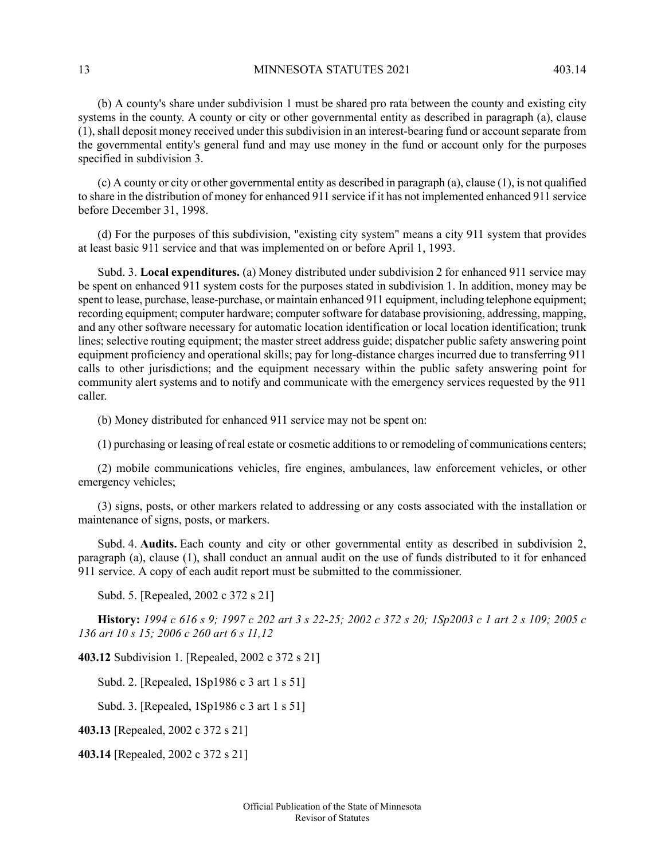13 MINNESOTA STATUTES 2021 403.14

(b) A county's share under subdivision 1 must be shared pro rata between the county and existing city systems in the county. A county or city or other governmental entity as described in paragraph (a), clause (1), shall deposit money received under this subdivision in an interest-bearing fund or account separate from the governmental entity's general fund and may use money in the fund or account only for the purposes specified in subdivision 3.

(c) A county or city or other governmental entity as described in paragraph (a), clause (1), is not qualified to share in the distribution of money for enhanced 911 service if it has not implemented enhanced 911 service before December 31, 1998.

(d) For the purposes of this subdivision, "existing city system" means a city 911 system that provides at least basic 911 service and that was implemented on or before April 1, 1993.

Subd. 3. **Local expenditures.** (a) Money distributed under subdivision 2 for enhanced 911 service may be spent on enhanced 911 system costs for the purposes stated in subdivision 1. In addition, money may be spent to lease, purchase, lease-purchase, or maintain enhanced 911 equipment, including telephone equipment; recording equipment; computer hardware; computer software for database provisioning, addressing, mapping, and any other software necessary for automatic location identification or local location identification; trunk lines; selective routing equipment; the master street address guide; dispatcher public safety answering point equipment proficiency and operational skills; pay for long-distance charges incurred due to transferring 911 calls to other jurisdictions; and the equipment necessary within the public safety answering point for community alert systems and to notify and communicate with the emergency services requested by the 911 caller.

(b) Money distributed for enhanced 911 service may not be spent on:

(1) purchasing or leasing of real estate or cosmetic additionsto or remodeling of communications centers;

(2) mobile communications vehicles, fire engines, ambulances, law enforcement vehicles, or other emergency vehicles;

(3) signs, posts, or other markers related to addressing or any costs associated with the installation or maintenance of signs, posts, or markers.

Subd. 4. **Audits.** Each county and city or other governmental entity as described in subdivision 2, paragraph (a), clause (1), shall conduct an annual audit on the use of funds distributed to it for enhanced 911 service. A copy of each audit report must be submitted to the commissioner.

Subd. 5. [Repealed, 2002 c 372 s 21]

History: 1994 c 616 s 9; 1997 c 202 art 3 s 22-25; 2002 c 372 s 20; 1Sp2003 c 1 art 2 s 109; 2005 c *136 art 10 s 15; 2006 c 260 art 6 s 11,12*

<span id="page-12-0"></span>**403.12** Subdivision 1. [Repealed, 2002 c 372 s 21]

Subd. 2. [Repealed, 1Sp1986 c 3 art 1 s 51]

Subd. 3. [Repealed, 1Sp1986 c 3 art 1 s 51]

**403.13** [Repealed, 2002 c 372 s 21]

**403.14** [Repealed, 2002 c 372 s 21]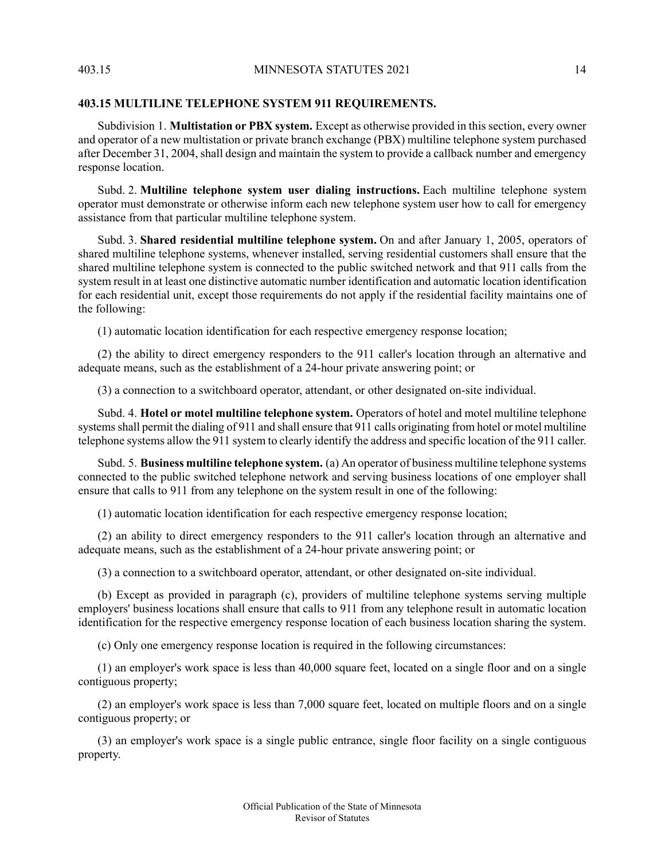# **403.15 MULTILINE TELEPHONE SYSTEM 911 REQUIREMENTS.**

Subdivision 1. **Multistation or PBX system.** Except as otherwise provided in this section, every owner and operator of a new multistation or private branch exchange (PBX) multiline telephone system purchased after December 31, 2004, shall design and maintain the system to provide a callback number and emergency response location.

Subd. 2. **Multiline telephone system user dialing instructions.** Each multiline telephone system operator must demonstrate or otherwise inform each new telephone system user how to call for emergency assistance from that particular multiline telephone system.

Subd. 3. **Shared residential multiline telephone system.** On and after January 1, 2005, operators of shared multiline telephone systems, whenever installed, serving residential customers shall ensure that the shared multiline telephone system is connected to the public switched network and that 911 calls from the system result in at least one distinctive automatic number identification and automatic location identification for each residential unit, except those requirements do not apply if the residential facility maintains one of the following:

(1) automatic location identification for each respective emergency response location;

(2) the ability to direct emergency responders to the 911 caller's location through an alternative and adequate means, such as the establishment of a 24-hour private answering point; or

(3) a connection to a switchboard operator, attendant, or other designated on-site individual.

Subd. 4. **Hotel or motel multiline telephone system.** Operators of hotel and motel multiline telephone systems shall permit the dialing of 911 and shall ensure that 911 calls originating from hotel or motel multiline telephone systems allow the 911 system to clearly identify the address and specific location of the 911 caller.

Subd. 5. **Business multiline telephone system.** (a) An operator of business multiline telephone systems connected to the public switched telephone network and serving business locations of one employer shall ensure that calls to 911 from any telephone on the system result in one of the following:

(1) automatic location identification for each respective emergency response location;

(2) an ability to direct emergency responders to the 911 caller's location through an alternative and adequate means, such as the establishment of a 24-hour private answering point; or

(3) a connection to a switchboard operator, attendant, or other designated on-site individual.

(b) Except as provided in paragraph (c), providers of multiline telephone systems serving multiple employers' business locations shall ensure that calls to 911 from any telephone result in automatic location identification for the respective emergency response location of each business location sharing the system.

(c) Only one emergency response location is required in the following circumstances:

(1) an employer's work space is less than 40,000 square feet, located on a single floor and on a single contiguous property;

(2) an employer's work space is less than 7,000 square feet, located on multiple floors and on a single contiguous property; or

(3) an employer's work space is a single public entrance, single floor facility on a single contiguous property.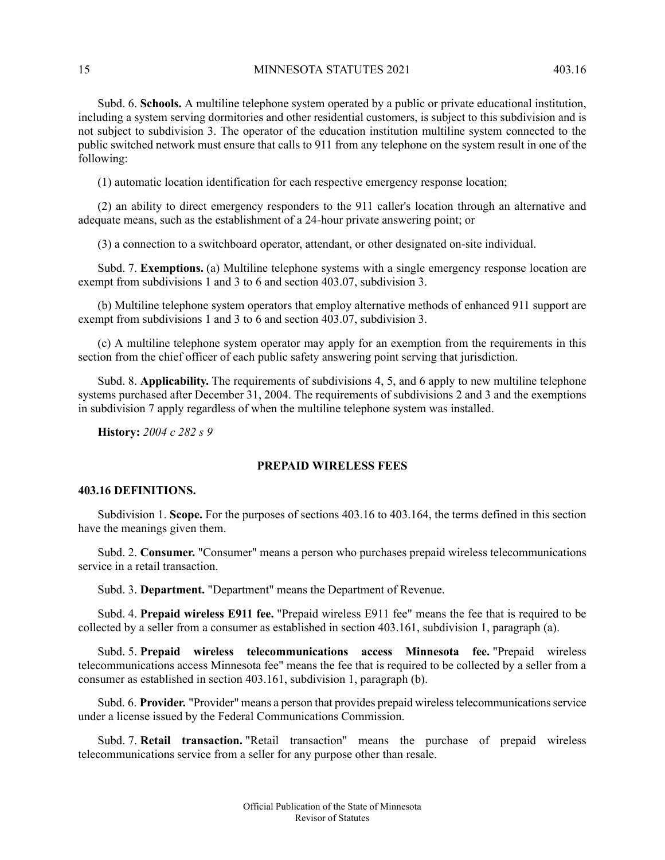15 MINNESOTA STATUTES 2021 403.16

Subd. 6. **Schools.** A multiline telephone system operated by a public or private educational institution, including a system serving dormitories and other residential customers, is subject to this subdivision and is not subject to subdivision 3. The operator of the education institution multiline system connected to the public switched network must ensure that calls to 911 from any telephone on the system result in one of the following:

(1) automatic location identification for each respective emergency response location;

(2) an ability to direct emergency responders to the 911 caller's location through an alternative and adequate means, such as the establishment of a 24-hour private answering point; or

(3) a connection to a switchboard operator, attendant, or other designated on-site individual.

Subd. 7. **Exemptions.** (a) Multiline telephone systems with a single emergency response location are exempt from subdivisions 1 and 3 to 6 and section 403.07, subdivision 3.

(b) Multiline telephone system operators that employ alternative methods of enhanced 911 support are exempt from subdivisions 1 and 3 to 6 and section 403.07, subdivision 3.

(c) A multiline telephone system operator may apply for an exemption from the requirements in this section from the chief officer of each public safety answering point serving that jurisdiction.

<span id="page-14-0"></span>Subd. 8. **Applicability.** The requirements of subdivisions 4, 5, and 6 apply to new multiline telephone systems purchased after December 31, 2004. The requirements of subdivisions 2 and 3 and the exemptions in subdivision 7 apply regardless of when the multiline telephone system was installed.

<span id="page-14-1"></span>**History:** *2004 c 282 s 9*

# **PREPAID WIRELESS FEES**

### **403.16 DEFINITIONS.**

Subdivision 1. **Scope.** For the purposes of sections 403.16 to 403.164, the terms defined in this section have the meanings given them.

Subd. 2. **Consumer.** "Consumer" means a person who purchases prepaid wireless telecommunications service in a retail transaction.

Subd. 3. **Department.** "Department" means the Department of Revenue.

Subd. 4. **Prepaid wireless E911 fee.** "Prepaid wireless E911 fee" means the fee that is required to be collected by a seller from a consumer as established in section 403.161, subdivision 1, paragraph (a).

Subd. 5. **Prepaid wireless telecommunications access Minnesota fee.** "Prepaid wireless telecommunications access Minnesota fee" means the fee that is required to be collected by a seller from a consumer as established in section 403.161, subdivision 1, paragraph (b).

Subd. 6. Provider. "Provider" means a person that provides prepaid wireless telecommunications service under a license issued by the Federal Communications Commission.

Subd. 7. **Retail transaction.** "Retail transaction" means the purchase of prepaid wireless telecommunications service from a seller for any purpose other than resale.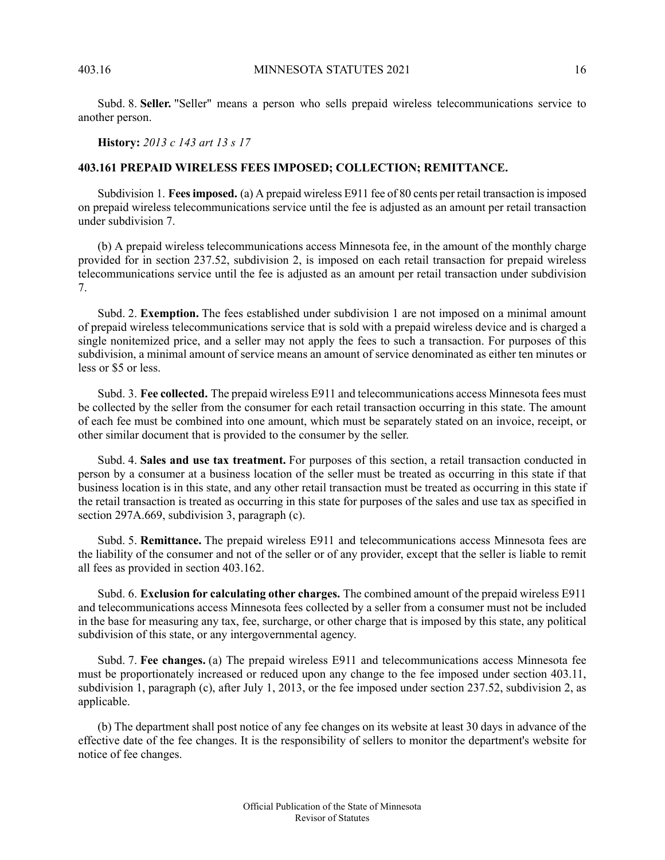Subd. 8. **Seller.** "Seller" means a person who sells prepaid wireless telecommunications service to another person.

<span id="page-15-0"></span>**History:** *2013 c 143 art 13 s 17*

# **403.161 PREPAID WIRELESS FEES IMPOSED; COLLECTION; REMITTANCE.**

Subdivision 1. **Feesimposed.** (a) A prepaid wireless E911 fee of 80 cents per retail transaction isimposed on prepaid wireless telecommunications service until the fee is adjusted as an amount per retail transaction under subdivision 7.

(b) A prepaid wireless telecommunications access Minnesota fee, in the amount of the monthly charge provided for in section 237.52, subdivision 2, is imposed on each retail transaction for prepaid wireless telecommunications service until the fee is adjusted as an amount per retail transaction under subdivision 7.

Subd. 2. **Exemption.** The fees established under subdivision 1 are not imposed on a minimal amount of prepaid wireless telecommunications service that is sold with a prepaid wireless device and is charged a single nonitemized price, and a seller may not apply the fees to such a transaction. For purposes of this subdivision, a minimal amount of service means an amount of service denominated as either ten minutes or less or \$5 or less.

Subd. 3. **Fee collected.** The prepaid wireless E911 and telecommunications access Minnesota fees must be collected by the seller from the consumer for each retail transaction occurring in this state. The amount of each fee must be combined into one amount, which must be separately stated on an invoice, receipt, or other similar document that is provided to the consumer by the seller.

Subd. 4. **Sales and use tax treatment.** For purposes of this section, a retail transaction conducted in person by a consumer at a business location of the seller must be treated as occurring in this state if that business location is in this state, and any other retail transaction must be treated as occurring in this state if the retail transaction is treated as occurring in this state for purposes of the sales and use tax as specified in section 297A.669, subdivision 3, paragraph (c).

Subd. 5. **Remittance.** The prepaid wireless E911 and telecommunications access Minnesota fees are the liability of the consumer and not of the seller or of any provider, except that the seller is liable to remit all fees as provided in section 403.162.

Subd. 6. **Exclusion for calculating other charges.** The combined amount of the prepaid wireless E911 and telecommunications access Minnesota fees collected by a seller from a consumer must not be included in the base for measuring any tax, fee, surcharge, or other charge that is imposed by this state, any political subdivision of this state, or any intergovernmental agency.

Subd. 7. **Fee changes.** (a) The prepaid wireless E911 and telecommunications access Minnesota fee must be proportionately increased or reduced upon any change to the fee imposed under section 403.11, subdivision 1, paragraph (c), after July 1, 2013, or the fee imposed under section 237.52, subdivision 2, as applicable.

(b) The department shall post notice of any fee changes on its website at least 30 days in advance of the effective date of the fee changes. It is the responsibility of sellers to monitor the department's website for notice of fee changes.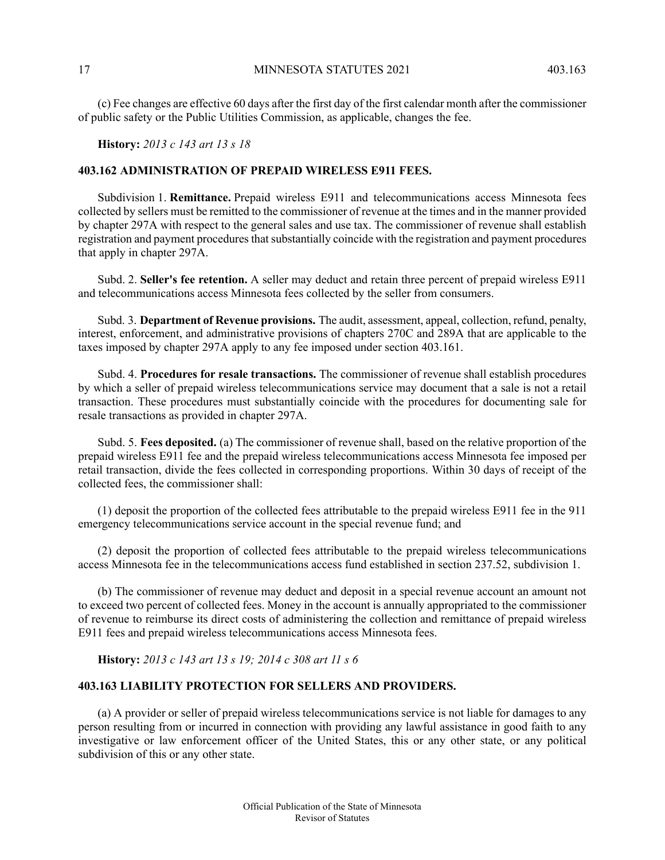(c) Fee changes are effective 60 days after the first day of the first calendar month after the commissioner of public safety or the Public Utilities Commission, as applicable, changes the fee.

<span id="page-16-0"></span>**History:** *2013 c 143 art 13 s 18*

# **403.162 ADMINISTRATION OF PREPAID WIRELESS E911 FEES.**

Subdivision 1. **Remittance.** Prepaid wireless E911 and telecommunications access Minnesota fees collected by sellers must be remitted to the commissioner of revenue at the times and in the manner provided by chapter 297A with respect to the general sales and use tax. The commissioner of revenue shall establish registration and payment procedures that substantially coincide with the registration and payment procedures that apply in chapter 297A.

Subd. 2. **Seller's fee retention.** A seller may deduct and retain three percent of prepaid wireless E911 and telecommunications access Minnesota fees collected by the seller from consumers.

Subd. 3. **Department of Revenue provisions.** The audit, assessment, appeal, collection, refund, penalty, interest, enforcement, and administrative provisions of chapters 270C and 289A that are applicable to the taxes imposed by chapter 297A apply to any fee imposed under section 403.161.

Subd. 4. **Procedures for resale transactions.** The commissioner of revenue shall establish procedures by which a seller of prepaid wireless telecommunications service may document that a sale is not a retail transaction. These procedures must substantially coincide with the procedures for documenting sale for resale transactions as provided in chapter 297A.

Subd. 5. **Fees deposited.** (a) The commissioner of revenue shall, based on the relative proportion of the prepaid wireless E911 fee and the prepaid wireless telecommunications access Minnesota fee imposed per retail transaction, divide the fees collected in corresponding proportions. Within 30 days of receipt of the collected fees, the commissioner shall:

(1) deposit the proportion of the collected fees attributable to the prepaid wireless E911 fee in the 911 emergency telecommunications service account in the special revenue fund; and

<span id="page-16-1"></span>(2) deposit the proportion of collected fees attributable to the prepaid wireless telecommunications access Minnesota fee in the telecommunications access fund established in section 237.52, subdivision 1.

(b) The commissioner of revenue may deduct and deposit in a special revenue account an amount not to exceed two percent of collected fees. Money in the account is annually appropriated to the commissioner of revenue to reimburse its direct costs of administering the collection and remittance of prepaid wireless E911 fees and prepaid wireless telecommunications access Minnesota fees.

**History:** *2013 c 143 art 13 s 19; 2014 c 308 art 11 s 6*

### **403.163 LIABILITY PROTECTION FOR SELLERS AND PROVIDERS.**

(a) A provider or seller of prepaid wireless telecommunications service is not liable for damages to any person resulting from or incurred in connection with providing any lawful assistance in good faith to any investigative or law enforcement officer of the United States, this or any other state, or any political subdivision of this or any other state.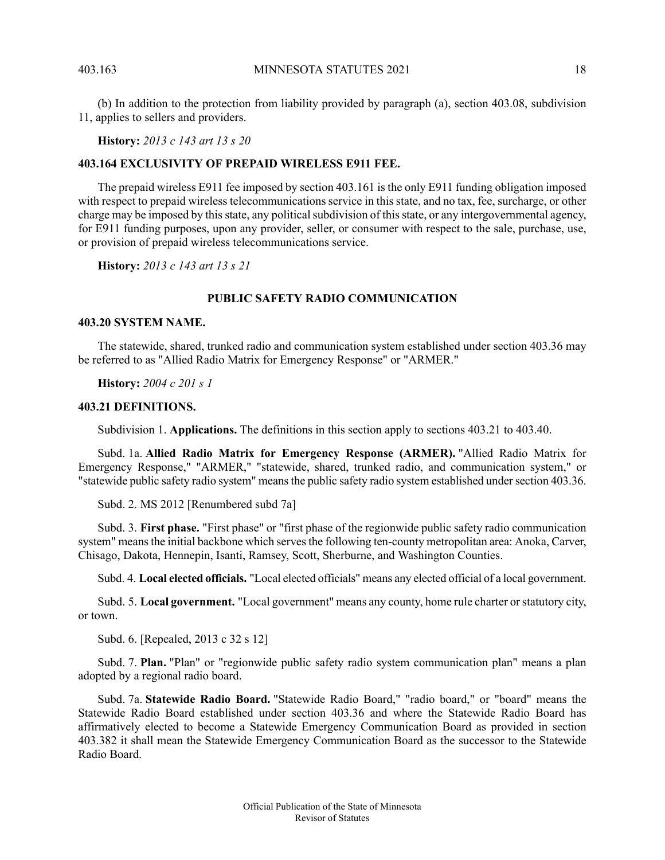(b) In addition to the protection from liability provided by paragraph (a), section 403.08, subdivision 11, applies to sellers and providers.

**History:** *2013 c 143 art 13 s 20*

### <span id="page-17-0"></span>**403.164 EXCLUSIVITY OF PREPAID WIRELESS E911 FEE.**

The prepaid wireless E911 fee imposed by section 403.161 is the only E911 funding obligation imposed with respect to prepaid wireless telecommunications service in this state, and no tax, fee, surcharge, or other charge may be imposed by this state, any political subdivision of this state, or any intergovernmental agency, for E911 funding purposes, upon any provider, seller, or consumer with respect to the sale, purchase, use, or provision of prepaid wireless telecommunications service.

<span id="page-17-2"></span><span id="page-17-1"></span>**History:** *2013 c 143 art 13 s 21*

# **PUBLIC SAFETY RADIO COMMUNICATION**

# **403.20 SYSTEM NAME.**

<span id="page-17-3"></span>The statewide, shared, trunked radio and communication system established under section 403.36 may be referred to as "Allied Radio Matrix for Emergency Response" or "ARMER."

**History:** *2004 c 201 s 1*

### **403.21 DEFINITIONS.**

Subdivision 1. **Applications.** The definitions in this section apply to sections 403.21 to 403.40.

Subd. 1a. **Allied Radio Matrix for Emergency Response (ARMER).** "Allied Radio Matrix for Emergency Response," "ARMER," "statewide, shared, trunked radio, and communication system," or "statewide public safety radio system" means the public safety radio system established under section 403.36.

Subd. 2. MS 2012 [Renumbered subd 7a]

Subd. 3. **First phase.** "First phase" or "first phase of the regionwide public safety radio communication system" means the initial backbone which serves the following ten-county metropolitan area: Anoka, Carver, Chisago, Dakota, Hennepin, Isanti, Ramsey, Scott, Sherburne, and Washington Counties.

Subd. 4. **Local elected officials.** "Local elected officials" means any elected official of a local government.

Subd. 5. Local government. "Local government" means any county, home rule charter or statutory city, or town.

Subd. 6. [Repealed, 2013 c 32 s 12]

Subd. 7. **Plan.** "Plan" or "regionwide public safety radio system communication plan" means a plan adopted by a regional radio board.

Subd. 7a. **Statewide Radio Board.** "Statewide Radio Board," "radio board," or "board" means the Statewide Radio Board established under section 403.36 and where the Statewide Radio Board has affirmatively elected to become a Statewide Emergency Communication Board as provided in section 403.382 it shall mean the Statewide Emergency Communication Board as the successor to the Statewide Radio Board.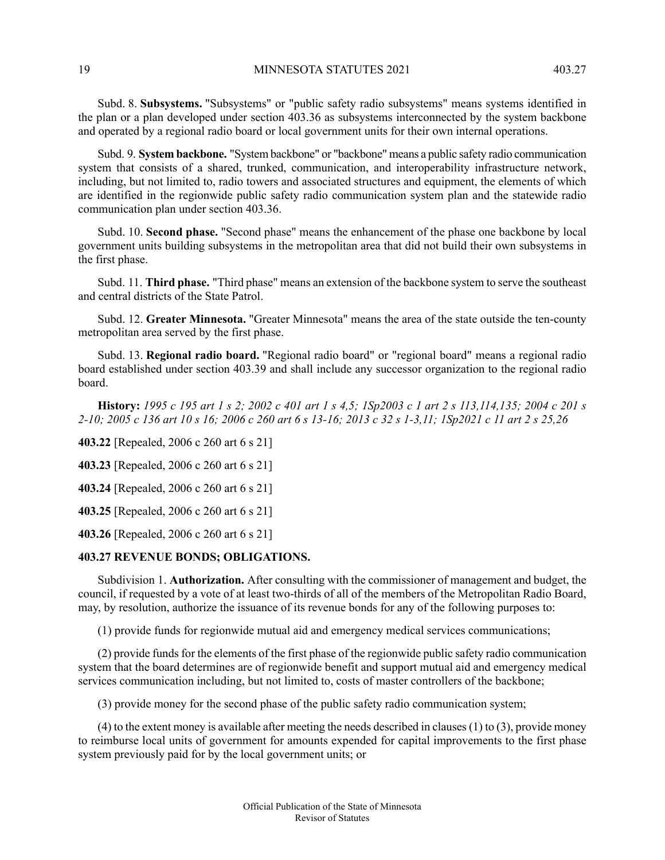Subd. 8. **Subsystems.** "Subsystems" or "public safety radio subsystems" means systems identified in the plan or a plan developed under section 403.36 as subsystems interconnected by the system backbone and operated by a regional radio board or local government units for their own internal operations.

Subd. 9. **System backbone.** "System backbone" or "backbone" means a public safety radio communication system that consists of a shared, trunked, communication, and interoperability infrastructure network, including, but not limited to, radio towers and associated structures and equipment, the elements of which are identified in the regionwide public safety radio communication system plan and the statewide radio communication plan under section 403.36.

Subd. 10. **Second phase.** "Second phase" means the enhancement of the phase one backbone by local government units building subsystems in the metropolitan area that did not build their own subsystems in the first phase.

Subd. 11. **Third phase.** "Third phase" means an extension of the backbone system to serve the southeast and central districts of the State Patrol.

Subd. 12. **Greater Minnesota.** "Greater Minnesota" means the area of the state outside the ten-county metropolitan area served by the first phase.

Subd. 13. **Regional radio board.** "Regional radio board" or "regional board" means a regional radio board established under section 403.39 and shall include any successor organization to the regional radio board.

History: 1995 c 195 art 1 s 2; 2002 c 401 art 1 s 4,5; 1Sp2003 c 1 art 2 s 113,114,135; 2004 c 201 s 2-10; 2005 c 136 art 10 s 16; 2006 c 260 art 6 s 13-16; 2013 c 32 s 1-3,11; 1Sp2021 c 11 art 2 s 25,26

**403.22** [Repealed, 2006 c 260 art 6 s 21]

**403.23** [Repealed, 2006 c 260 art 6 s 21]

<span id="page-18-0"></span>**403.24** [Repealed, 2006 c 260 art 6 s 21]

**403.25** [Repealed, 2006 c 260 art 6 s 21]

**403.26** [Repealed, 2006 c 260 art 6 s 21]

### **403.27 REVENUE BONDS; OBLIGATIONS.**

Subdivision 1. **Authorization.** After consulting with the commissioner of management and budget, the council, if requested by a vote of at least two-thirds of all of the members of the Metropolitan Radio Board, may, by resolution, authorize the issuance of its revenue bonds for any of the following purposes to:

(1) provide funds for regionwide mutual aid and emergency medical services communications;

(2) provide funds for the elements of the first phase of the regionwide public safety radio communication system that the board determines are of regionwide benefit and support mutual aid and emergency medical services communication including, but not limited to, costs of master controllers of the backbone;

(3) provide money for the second phase of the public safety radio communication system;

 $(4)$  to the extent money is available after meeting the needs described in clauses  $(1)$  to  $(3)$ , provide money to reimburse local units of government for amounts expended for capital improvements to the first phase system previously paid for by the local government units; or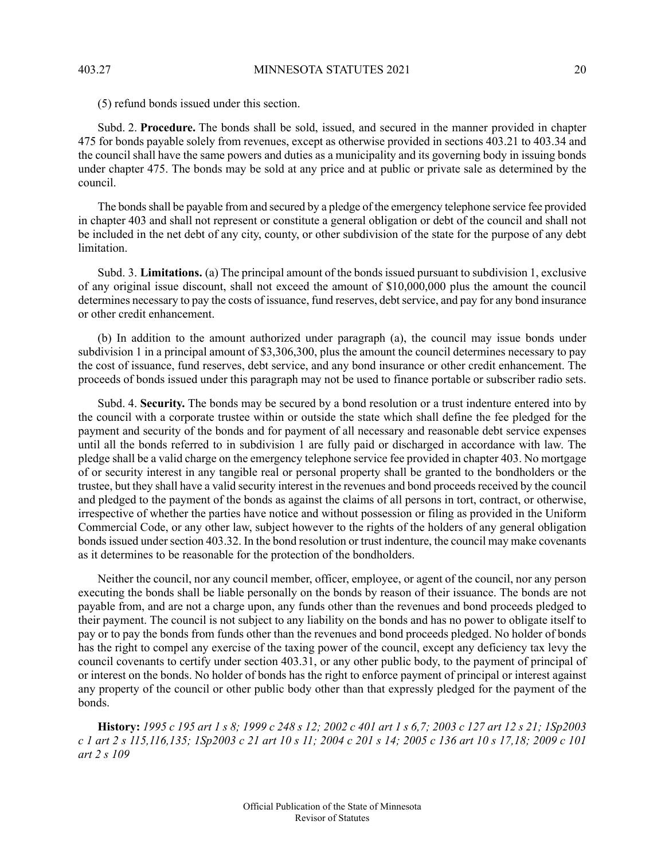(5) refund bonds issued under this section.

Subd. 2. **Procedure.** The bonds shall be sold, issued, and secured in the manner provided in chapter 475 for bonds payable solely from revenues, except as otherwise provided in sections 403.21 to 403.34 and the council shall have the same powers and duties as a municipality and its governing body in issuing bonds under chapter 475. The bonds may be sold at any price and at public or private sale as determined by the council.

The bonds shall be payable from and secured by a pledge of the emergency telephone service fee provided in chapter 403 and shall not represent or constitute a general obligation or debt of the council and shall not be included in the net debt of any city, county, or other subdivision of the state for the purpose of any debt limitation.

Subd. 3. **Limitations.** (a) The principal amount of the bonds issued pursuant to subdivision 1, exclusive of any original issue discount, shall not exceed the amount of \$10,000,000 plus the amount the council determines necessary to pay the costs of issuance, fund reserves, debt service, and pay for any bond insurance or other credit enhancement.

(b) In addition to the amount authorized under paragraph (a), the council may issue bonds under subdivision 1 in a principal amount of \$3,306,300, plus the amount the council determines necessary to pay the cost of issuance, fund reserves, debt service, and any bond insurance or other credit enhancement. The proceeds of bonds issued under this paragraph may not be used to finance portable or subscriber radio sets.

Subd. 4. **Security.** The bonds may be secured by a bond resolution or a trust indenture entered into by the council with a corporate trustee within or outside the state which shall define the fee pledged for the payment and security of the bonds and for payment of all necessary and reasonable debt service expenses until all the bonds referred to in subdivision 1 are fully paid or discharged in accordance with law. The pledge shall be a valid charge on the emergency telephone service fee provided in chapter 403. No mortgage of or security interest in any tangible real or personal property shall be granted to the bondholders or the trustee, but they shall have a valid security interest in the revenues and bond proceeds received by the council and pledged to the payment of the bonds as against the claims of all persons in tort, contract, or otherwise, irrespective of whether the parties have notice and without possession or filing as provided in the Uniform Commercial Code, or any other law, subject however to the rights of the holders of any general obligation bonds issued under section 403.32. In the bond resolution or trust indenture, the council may make covenants as it determines to be reasonable for the protection of the bondholders.

Neither the council, nor any council member, officer, employee, or agent of the council, nor any person executing the bonds shall be liable personally on the bonds by reason of their issuance. The bonds are not payable from, and are not a charge upon, any funds other than the revenues and bond proceeds pledged to their payment. The council is not subject to any liability on the bonds and has no power to obligate itself to pay or to pay the bonds from funds other than the revenues and bond proceeds pledged. No holder of bonds has the right to compel any exercise of the taxing power of the council, except any deficiency tax levy the council covenants to certify under section 403.31, or any other public body, to the payment of principal of or interest on the bonds. No holder of bonds has the right to enforce payment of principal or interest against any property of the council or other public body other than that expressly pledged for the payment of the bonds.

<span id="page-19-0"></span>History: 1995 c 195 art 1 s 8; 1999 c 248 s 12; 2002 c 401 art 1 s 6,7; 2003 c 127 art 12 s 21; 1Sp2003 c 1 art 2 s 115,116,135; 1Sp2003 c 21 art 10 s 11; 2004 c 201 s 14; 2005 c 136 art 10 s 17,18; 2009 c 101 *art 2 s 109*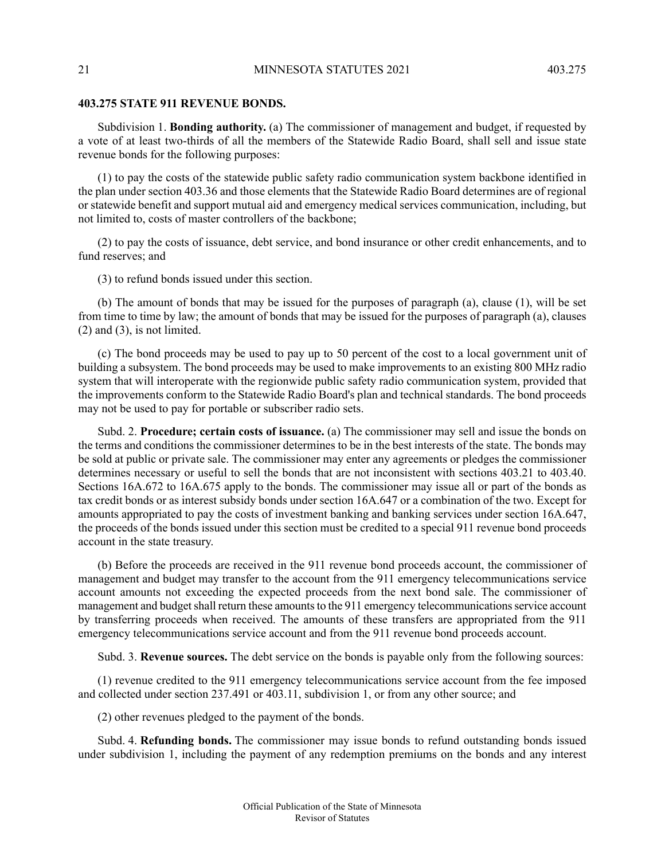### **403.275 STATE 911 REVENUE BONDS.**

Subdivision 1. **Bonding authority.** (a) The commissioner of management and budget, if requested by a vote of at least two-thirds of all the members of the Statewide Radio Board, shall sell and issue state revenue bonds for the following purposes:

(1) to pay the costs of the statewide public safety radio communication system backbone identified in the plan under section 403.36 and those elements that the Statewide Radio Board determines are of regional or statewide benefit and support mutual aid and emergency medical services communication, including, but not limited to, costs of master controllers of the backbone;

(2) to pay the costs of issuance, debt service, and bond insurance or other credit enhancements, and to fund reserves; and

(3) to refund bonds issued under this section.

(b) The amount of bonds that may be issued for the purposes of paragraph (a), clause (1), will be set from time to time by law; the amount of bonds that may be issued for the purposes of paragraph (a), clauses (2) and (3), is not limited.

(c) The bond proceeds may be used to pay up to 50 percent of the cost to a local government unit of building a subsystem. The bond proceeds may be used to make improvements to an existing 800 MHz radio system that will interoperate with the regionwide public safety radio communication system, provided that the improvements conform to the Statewide Radio Board's plan and technical standards. The bond proceeds may not be used to pay for portable or subscriber radio sets.

Subd. 2. **Procedure; certain costs of issuance.** (a) The commissioner may sell and issue the bonds on the terms and conditions the commissioner determines to be in the best interests of the state. The bonds may be sold at public or private sale. The commissioner may enter any agreements or pledges the commissioner determines necessary or useful to sell the bonds that are not inconsistent with sections 403.21 to 403.40. Sections 16A.672 to 16A.675 apply to the bonds. The commissioner may issue all or part of the bonds as tax credit bonds or as interest subsidy bonds under section 16A.647 or a combination of the two. Except for amounts appropriated to pay the costs of investment banking and banking services under section 16A.647, the proceeds of the bonds issued under this section must be credited to a special 911 revenue bond proceeds account in the state treasury.

(b) Before the proceeds are received in the 911 revenue bond proceeds account, the commissioner of management and budget may transfer to the account from the 911 emergency telecommunications service account amounts not exceeding the expected proceeds from the next bond sale. The commissioner of management and budget shall return these amounts to the 911 emergency telecommunications service account by transferring proceeds when received. The amounts of these transfers are appropriated from the 911 emergency telecommunications service account and from the 911 revenue bond proceeds account.

Subd. 3. **Revenue sources.** The debt service on the bonds is payable only from the following sources:

(1) revenue credited to the 911 emergency telecommunications service account from the fee imposed and collected under section 237.491 or 403.11, subdivision 1, or from any other source; and

(2) other revenues pledged to the payment of the bonds.

Subd. 4. **Refunding bonds.** The commissioner may issue bonds to refund outstanding bonds issued under subdivision 1, including the payment of any redemption premiums on the bonds and any interest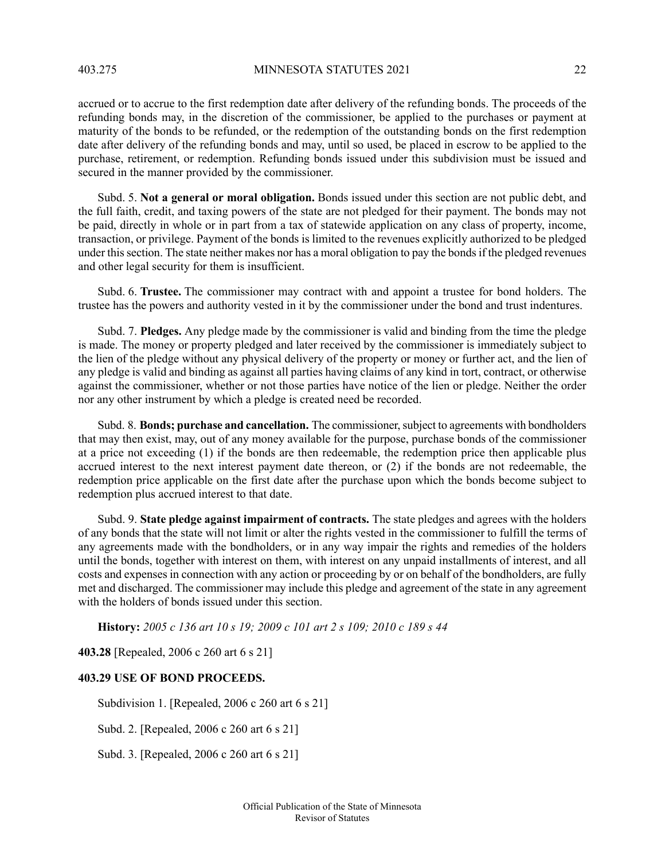403.275 MINNESOTA STATUTES 2021 22

accrued or to accrue to the first redemption date after delivery of the refunding bonds. The proceeds of the refunding bonds may, in the discretion of the commissioner, be applied to the purchases or payment at maturity of the bonds to be refunded, or the redemption of the outstanding bonds on the first redemption date after delivery of the refunding bonds and may, until so used, be placed in escrow to be applied to the purchase, retirement, or redemption. Refunding bonds issued under this subdivision must be issued and secured in the manner provided by the commissioner.

Subd. 5. **Not a general or moral obligation.** Bonds issued under this section are not public debt, and the full faith, credit, and taxing powers of the state are not pledged for their payment. The bonds may not be paid, directly in whole or in part from a tax of statewide application on any class of property, income, transaction, or privilege. Payment of the bonds is limited to the revenues explicitly authorized to be pledged under this section. The state neither makes nor has a moral obligation to pay the bonds if the pledged revenues and other legal security for them is insufficient.

Subd. 6. **Trustee.** The commissioner may contract with and appoint a trustee for bond holders. The trustee has the powers and authority vested in it by the commissioner under the bond and trust indentures.

Subd. 7. **Pledges.** Any pledge made by the commissioner is valid and binding from the time the pledge is made. The money or property pledged and later received by the commissioner is immediately subject to the lien of the pledge without any physical delivery of the property or money or further act, and the lien of any pledge is valid and binding as against all parties having claims of any kind in tort, contract, or otherwise against the commissioner, whether or not those parties have notice of the lien or pledge. Neither the order nor any other instrument by which a pledge is created need be recorded.

Subd. 8. **Bonds; purchase and cancellation.** The commissioner,subject to agreements with bondholders that may then exist, may, out of any money available for the purpose, purchase bonds of the commissioner at a price not exceeding (1) if the bonds are then redeemable, the redemption price then applicable plus accrued interest to the next interest payment date thereon, or (2) if the bonds are not redeemable, the redemption price applicable on the first date after the purchase upon which the bonds become subject to redemption plus accrued interest to that date.

Subd. 9. **State pledge against impairment of contracts.** The state pledges and agrees with the holders of any bonds that the state will not limit or alter the rights vested in the commissioner to fulfill the terms of any agreements made with the bondholders, or in any way impair the rights and remedies of the holders until the bonds, together with interest on them, with interest on any unpaid installments of interest, and all costs and expenses in connection with any action or proceeding by or on behalf of the bondholders, are fully met and discharged. The commissioner may include this pledge and agreement of the state in any agreement with the holders of bonds issued under this section.

<span id="page-21-0"></span>**History:** *2005 c 136 art 10 s 19; 2009 c 101 art 2 s 109; 2010 c 189 s 44*

**403.28** [Repealed, 2006 c 260 art 6 s 21]

# **403.29 USE OF BOND PROCEEDS.**

Subdivision 1. [Repealed, 2006 c 260 art 6 s 21]

Subd. 2. [Repealed, 2006 c 260 art 6 s 21]

Subd. 3. [Repealed, 2006 c 260 art 6 s 21]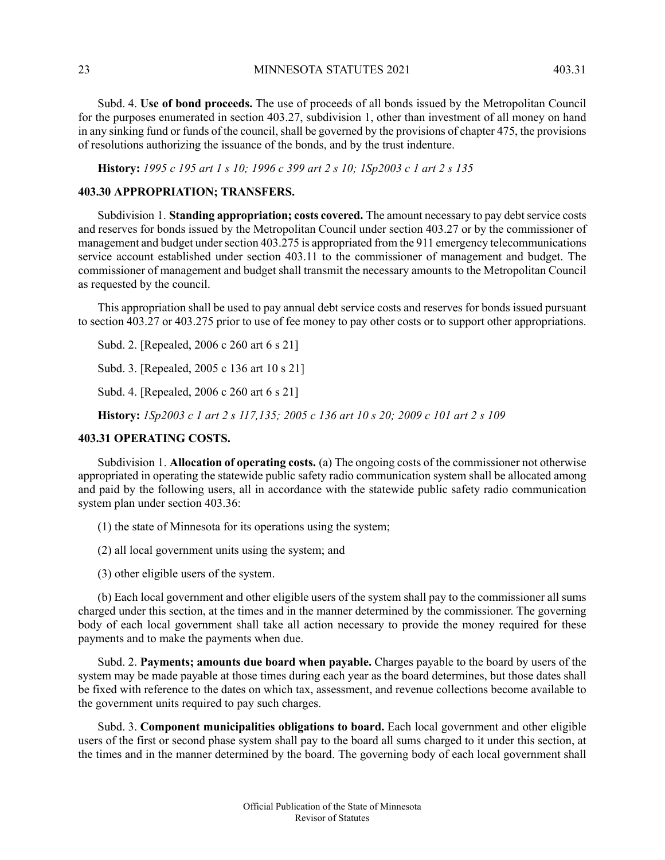23 MINNESOTA STATUTES 2021 403.31

Subd. 4. **Use of bond proceeds.** The use of proceeds of all bonds issued by the Metropolitan Council for the purposes enumerated in section 403.27, subdivision 1, other than investment of all money on hand in any sinking fund or funds of the council, shall be governed by the provisions of chapter 475, the provisions of resolutions authorizing the issuance of the bonds, and by the trust indenture.

<span id="page-22-0"></span>History: 1995 c 195 art 1 s 10; 1996 c 399 art 2 s 10; 1Sp2003 c 1 art 2 s 135

### **403.30 APPROPRIATION; TRANSFERS.**

Subdivision 1. **Standing appropriation; costs covered.** The amount necessary to pay debtservice costs and reserves for bonds issued by the Metropolitan Council under section 403.27 or by the commissioner of management and budget under section 403.275 is appropriated from the 911 emergency telecommunications service account established under section 403.11 to the commissioner of management and budget. The commissioner of management and budget shall transmit the necessary amounts to the Metropolitan Council as requested by the council.

This appropriation shall be used to pay annual debt service costs and reserves for bonds issued pursuant to section 403.27 or 403.275 prior to use of fee money to pay other costs or to support other appropriations.

Subd. 2. [Repealed, 2006 c 260 art 6 s 21]

<span id="page-22-1"></span>Subd. 3. [Repealed, 2005 c 136 art 10 s 21]

Subd. 4. [Repealed, 2006 c 260 art 6 s 21]

History: 1Sp2003 c 1 art 2 s 117,135; 2005 c 136 art 10 s 20; 2009 c 101 art 2 s 109

#### **403.31 OPERATING COSTS.**

Subdivision 1. **Allocation of operating costs.** (a) The ongoing costs of the commissioner not otherwise appropriated in operating the statewide public safety radio communication system shall be allocated among and paid by the following users, all in accordance with the statewide public safety radio communication system plan under section 403.36:

(1) the state of Minnesota for its operations using the system;

(2) all local government units using the system; and

(3) other eligible users of the system.

(b) Each local government and other eligible users of the system shall pay to the commissioner all sums charged under this section, at the times and in the manner determined by the commissioner. The governing body of each local government shall take all action necessary to provide the money required for these payments and to make the payments when due.

Subd. 2. **Payments; amounts due board when payable.** Charges payable to the board by users of the system may be made payable at those times during each year as the board determines, but those dates shall be fixed with reference to the dates on which tax, assessment, and revenue collections become available to the government units required to pay such charges.

Subd. 3. **Component municipalities obligations to board.** Each local government and other eligible users of the first or second phase system shall pay to the board all sums charged to it under this section, at the times and in the manner determined by the board. The governing body of each local government shall

> Official Publication of the State of Minnesota Revisor of Statutes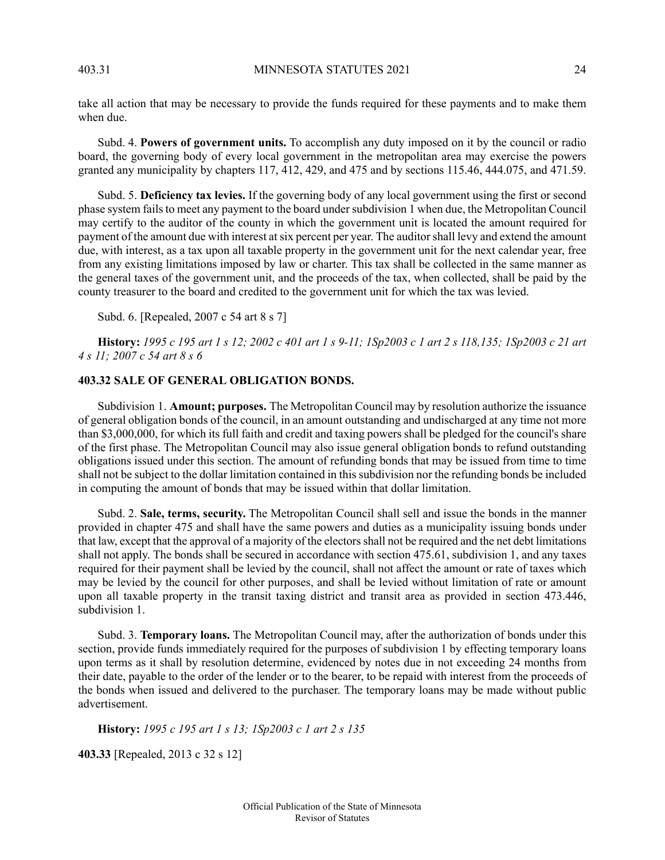take all action that may be necessary to provide the funds required for these payments and to make them when due.

Subd. 4. **Powers of government units.** To accomplish any duty imposed on it by the council or radio board, the governing body of every local government in the metropolitan area may exercise the powers granted any municipality by chapters 117, 412, 429, and 475 and by sections 115.46, 444.075, and 471.59.

Subd. 5. **Deficiency tax levies.** If the governing body of any local government using the first or second phase system fails to meet any payment to the board under subdivision 1 when due, the Metropolitan Council may certify to the auditor of the county in which the government unit is located the amount required for payment of the amount due with interest at six percent per year. The auditor shall levy and extend the amount due, with interest, as a tax upon all taxable property in the government unit for the next calendar year, free from any existing limitations imposed by law or charter. This tax shall be collected in the same manner as the general taxes of the government unit, and the proceeds of the tax, when collected, shall be paid by the county treasurer to the board and credited to the government unit for which the tax was levied.

Subd. 6. [Repealed, 2007 c 54 art 8 s 7]

<span id="page-23-0"></span>History: 1995 c 195 art 1 s 12; 2002 c 401 art 1 s 9-11; 1Sp2003 c 1 art 2 s 118,135; 1Sp2003 c 21 art *4 s 11; 2007 c 54 art 8 s 6*

### **403.32 SALE OF GENERAL OBLIGATION BONDS.**

Subdivision 1. **Amount; purposes.** The Metropolitan Council may by resolution authorize the issuance of general obligation bonds of the council, in an amount outstanding and undischarged at any time not more than \$3,000,000, for which its full faith and credit and taxing powers shall be pledged for the council's share of the first phase. The Metropolitan Council may also issue general obligation bonds to refund outstanding obligations issued under this section. The amount of refunding bonds that may be issued from time to time shall not be subject to the dollar limitation contained in this subdivision nor the refunding bonds be included in computing the amount of bonds that may be issued within that dollar limitation.

Subd. 2. **Sale, terms, security.** The Metropolitan Council shall sell and issue the bonds in the manner provided in chapter 475 and shall have the same powers and duties as a municipality issuing bonds under that law, except that the approval of a majority of the electorsshall not be required and the net debt limitations shall not apply. The bonds shall be secured in accordance with section 475.61, subdivision 1, and any taxes required for their payment shall be levied by the council, shall not affect the amount or rate of taxes which may be levied by the council for other purposes, and shall be levied without limitation of rate or amount upon all taxable property in the transit taxing district and transit area as provided in section 473.446, subdivision 1.

<span id="page-23-1"></span>Subd. 3. **Temporary loans.** The Metropolitan Council may, after the authorization of bonds under this section, provide funds immediately required for the purposes of subdivision 1 by effecting temporary loans upon terms as it shall by resolution determine, evidenced by notes due in not exceeding 24 months from their date, payable to the order of the lender or to the bearer, to be repaid with interest from the proceeds of the bonds when issued and delivered to the purchaser. The temporary loans may be made without public advertisement.

**History:** *1995 c 195 art 1 s 13; 1Sp2003 c 1 art 2 s 135*

**403.33** [Repealed, 2013 c 32 s 12]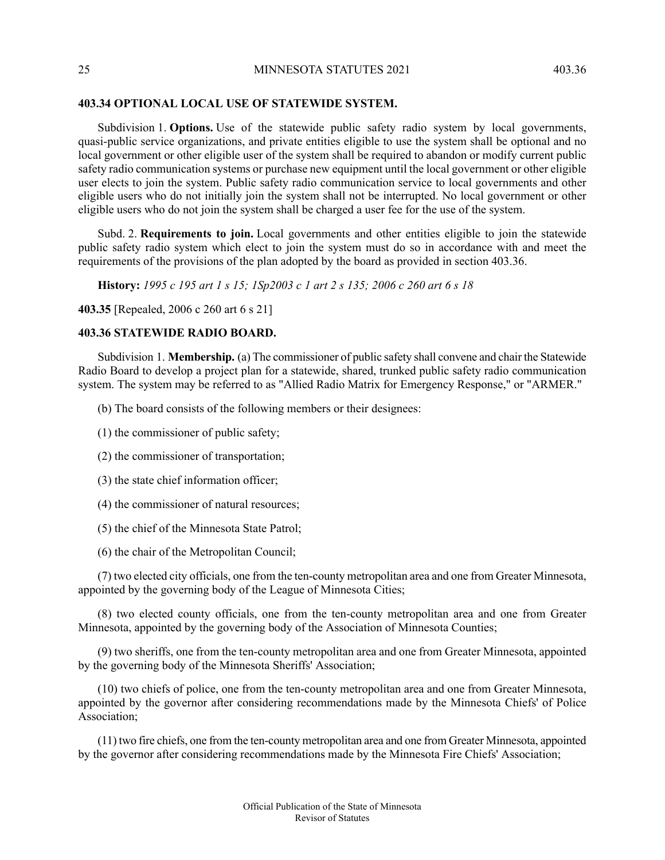### **403.34 OPTIONAL LOCAL USE OF STATEWIDE SYSTEM.**

Subdivision 1. **Options.** Use of the statewide public safety radio system by local governments, quasi-public service organizations, and private entities eligible to use the system shall be optional and no local government or other eligible user of the system shall be required to abandon or modify current public safety radio communication systems or purchase new equipment until the local government or other eligible user elects to join the system. Public safety radio communication service to local governments and other eligible users who do not initially join the system shall not be interrupted. No local government or other eligible users who do not join the system shall be charged a user fee for the use of the system.

Subd. 2. **Requirements to join.** Local governments and other entities eligible to join the statewide public safety radio system which elect to join the system must do so in accordance with and meet the requirements of the provisions of the plan adopted by the board as provided in section 403.36.

History: 1995 c 195 art 1 s 15; 1Sp2003 c 1 art 2 s 135; 2006 c 260 art 6 s 18

<span id="page-24-0"></span>**403.35** [Repealed, 2006 c 260 art 6 s 21]

### **403.36 STATEWIDE RADIO BOARD.**

Subdivision 1. **Membership.** (a) The commissioner of public safety shall convene and chair the Statewide Radio Board to develop a project plan for a statewide, shared, trunked public safety radio communication system. The system may be referred to as "Allied Radio Matrix for Emergency Response," or "ARMER."

- (b) The board consists of the following members or their designees:
- (1) the commissioner of public safety;
- (2) the commissioner of transportation;
- (3) the state chief information officer;
- (4) the commissioner of natural resources;
- (5) the chief of the Minnesota State Patrol;
- (6) the chair of the Metropolitan Council;

(7) two elected city officials, one from the ten-county metropolitan area and one from Greater Minnesota, appointed by the governing body of the League of Minnesota Cities;

(8) two elected county officials, one from the ten-county metropolitan area and one from Greater Minnesota, appointed by the governing body of the Association of Minnesota Counties;

(9) two sheriffs, one from the ten-county metropolitan area and one from Greater Minnesota, appointed by the governing body of the Minnesota Sheriffs' Association;

(10) two chiefs of police, one from the ten-county metropolitan area and one from Greater Minnesota, appointed by the governor after considering recommendations made by the Minnesota Chiefs' of Police Association;

(11) two fire chiefs, one from the ten-county metropolitan area and one from Greater Minnesota, appointed by the governor after considering recommendations made by the Minnesota Fire Chiefs' Association;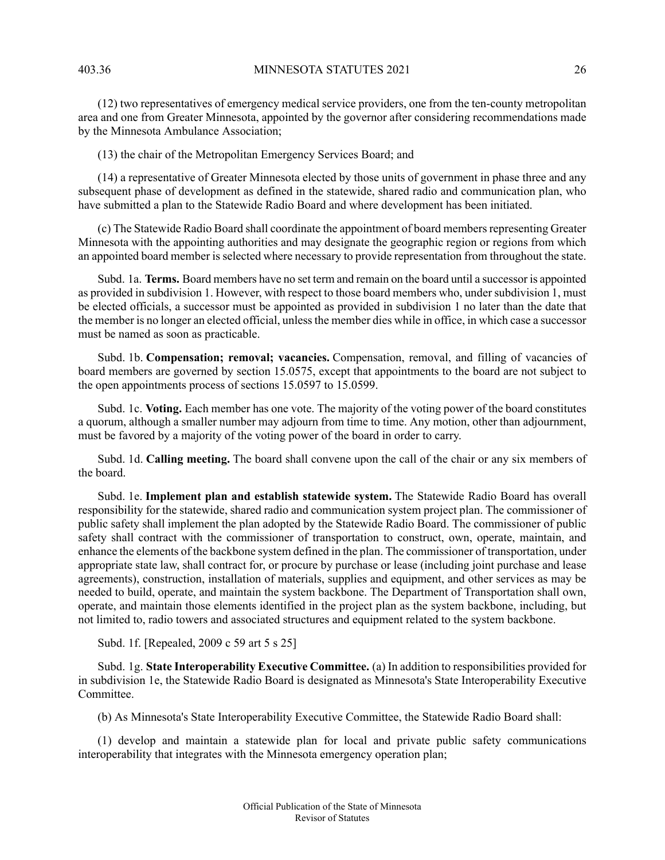(12) two representatives of emergency medical service providers, one from the ten-county metropolitan area and one from Greater Minnesota, appointed by the governor after considering recommendations made by the Minnesota Ambulance Association;

(13) the chair of the Metropolitan Emergency Services Board; and

(14) a representative of Greater Minnesota elected by those units of government in phase three and any subsequent phase of development as defined in the statewide, shared radio and communication plan, who have submitted a plan to the Statewide Radio Board and where development has been initiated.

(c) The Statewide Radio Board shall coordinate the appointment of board membersrepresenting Greater Minnesota with the appointing authorities and may designate the geographic region or regions from which an appointed board member is selected where necessary to provide representation from throughout the state.

Subd. 1a. **Terms.** Board members have no set term and remain on the board until a successor is appointed as provided in subdivision 1. However, with respect to those board members who, under subdivision 1, must be elected officials, a successor must be appointed as provided in subdivision 1 no later than the date that the member is no longer an elected official, unlessthe member dies while in office, in which case a successor must be named as soon as practicable.

Subd. 1b. **Compensation; removal; vacancies.** Compensation, removal, and filling of vacancies of board members are governed by section 15.0575, except that appointments to the board are not subject to the open appointments process of sections 15.0597 to 15.0599.

Subd. 1c. **Voting.** Each member has one vote. The majority of the voting power of the board constitutes a quorum, although a smaller number may adjourn from time to time. Any motion, other than adjournment, must be favored by a majority of the voting power of the board in order to carry.

Subd. 1d. **Calling meeting.** The board shall convene upon the call of the chair or any six members of the board.

Subd. 1e. **Implement plan and establish statewide system.** The Statewide Radio Board has overall responsibility for the statewide, shared radio and communication system project plan. The commissioner of public safety shall implement the plan adopted by the Statewide Radio Board. The commissioner of public safety shall contract with the commissioner of transportation to construct, own, operate, maintain, and enhance the elements of the backbone system defined in the plan. The commissioner of transportation, under appropriate state law, shall contract for, or procure by purchase or lease (including joint purchase and lease agreements), construction, installation of materials, supplies and equipment, and other services as may be needed to build, operate, and maintain the system backbone. The Department of Transportation shall own, operate, and maintain those elements identified in the project plan as the system backbone, including, but not limited to, radio towers and associated structures and equipment related to the system backbone.

Subd. 1f. [Repealed, 2009 c 59 art 5 s 25]

Subd. 1g. **State Interoperability Executive Committee.** (a) In addition to responsibilities provided for in subdivision 1e, the Statewide Radio Board is designated as Minnesota's State Interoperability Executive Committee.

(b) As Minnesota's State Interoperability Executive Committee, the Statewide Radio Board shall:

(1) develop and maintain a statewide plan for local and private public safety communications interoperability that integrates with the Minnesota emergency operation plan;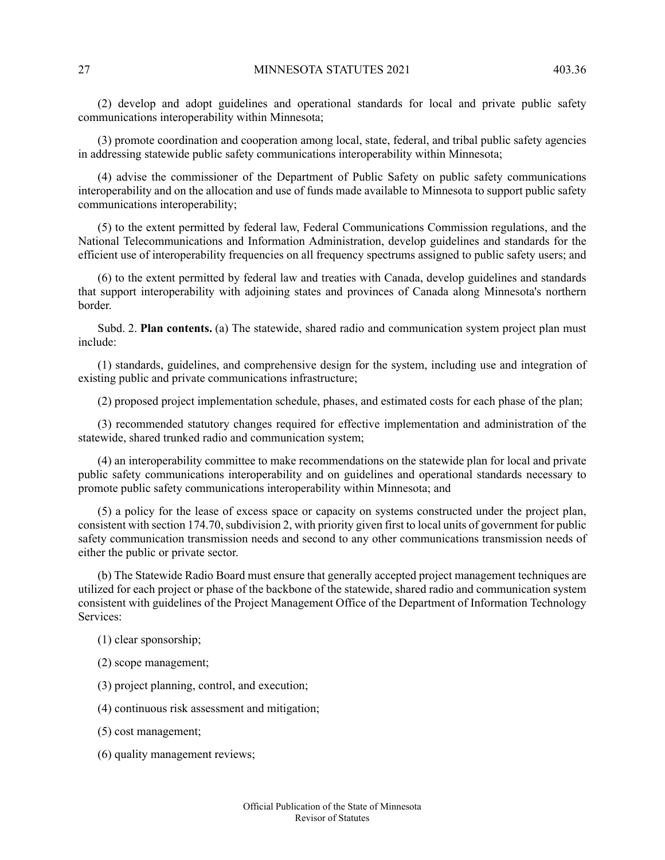(2) develop and adopt guidelines and operational standards for local and private public safety communications interoperability within Minnesota;

(3) promote coordination and cooperation among local, state, federal, and tribal public safety agencies in addressing statewide public safety communications interoperability within Minnesota;

(4) advise the commissioner of the Department of Public Safety on public safety communications interoperability and on the allocation and use of funds made available to Minnesota to support public safety communications interoperability;

(5) to the extent permitted by federal law, Federal Communications Commission regulations, and the National Telecommunications and Information Administration, develop guidelines and standards for the efficient use of interoperability frequencies on all frequency spectrums assigned to public safety users; and

(6) to the extent permitted by federal law and treaties with Canada, develop guidelines and standards that support interoperability with adjoining states and provinces of Canada along Minnesota's northern border.

Subd. 2. **Plan contents.** (a) The statewide, shared radio and communication system project plan must include:

(1) standards, guidelines, and comprehensive design for the system, including use and integration of existing public and private communications infrastructure;

(2) proposed project implementation schedule, phases, and estimated costs for each phase of the plan;

(3) recommended statutory changes required for effective implementation and administration of the statewide, shared trunked radio and communication system;

(4) an interoperability committee to make recommendations on the statewide plan for local and private public safety communications interoperability and on guidelines and operational standards necessary to promote public safety communications interoperability within Minnesota; and

(5) a policy for the lease of excess space or capacity on systems constructed under the project plan, consistent with section 174.70, subdivision 2, with priority given first to local units of government for public safety communication transmission needs and second to any other communications transmission needs of either the public or private sector.

(b) The Statewide Radio Board must ensure that generally accepted project management techniques are utilized for each project or phase of the backbone of the statewide, shared radio and communication system consistent with guidelines of the Project Management Office of the Department of Information Technology Services:

- (1) clear sponsorship;
- (2) scope management;
- (3) project planning, control, and execution;
- (4) continuous risk assessment and mitigation;
- (5) cost management;
- (6) quality management reviews;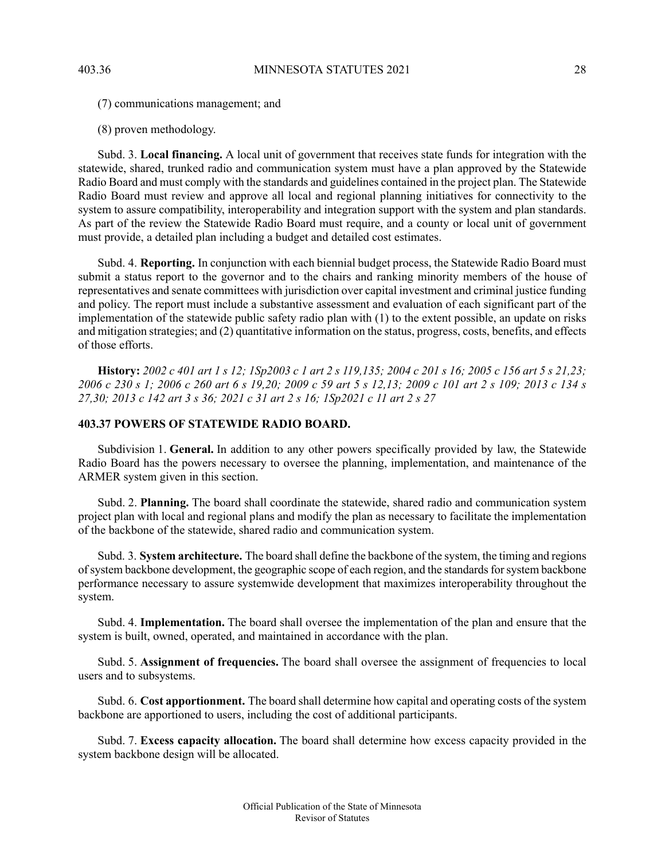(7) communications management; and

(8) proven methodology.

Subd. 3. **Local financing.** A local unit of government that receives state funds for integration with the statewide, shared, trunked radio and communication system must have a plan approved by the Statewide Radio Board and must comply with the standards and guidelines contained in the project plan. The Statewide Radio Board must review and approve all local and regional planning initiatives for connectivity to the system to assure compatibility, interoperability and integration support with the system and plan standards. As part of the review the Statewide Radio Board must require, and a county or local unit of government must provide, a detailed plan including a budget and detailed cost estimates.

Subd. 4. **Reporting.** In conjunction with each biennial budget process, the Statewide Radio Board must submit a status report to the governor and to the chairs and ranking minority members of the house of representatives and senate committees with jurisdiction over capital investment and criminal justice funding and policy. The report must include a substantive assessment and evaluation of each significant part of the implementation of the statewide public safety radio plan with (1) to the extent possible, an update on risks and mitigation strategies; and (2) quantitative information on the status, progress, costs, benefits, and effects of those efforts.

<span id="page-27-0"></span>History: 2002 c 401 art 1 s 12; 1Sp2003 c 1 art 2 s 119,135; 2004 c 201 s 16; 2005 c 156 art 5 s 21,23; 2006 c 230 s 1; 2006 c 260 art 6 s 19,20; 2009 c 59 art 5 s 12,13; 2009 c 101 art 2 s 109; 2013 c 134 s 27,30; 2013 c 142 art 3 s 36; 2021 c 31 art 2 s 16; 1Sp2021 c 11 art 2 s 27

# **403.37 POWERS OF STATEWIDE RADIO BOARD.**

Subdivision 1. **General.** In addition to any other powers specifically provided by law, the Statewide Radio Board has the powers necessary to oversee the planning, implementation, and maintenance of the ARMER system given in this section.

Subd. 2. **Planning.** The board shall coordinate the statewide, shared radio and communication system project plan with local and regional plans and modify the plan as necessary to facilitate the implementation of the backbone of the statewide, shared radio and communication system.

Subd. 3. **System architecture.** The board shall define the backbone of the system, the timing and regions of system backbone development, the geographic scope of each region, and the standards for system backbone performance necessary to assure systemwide development that maximizes interoperability throughout the system.

Subd. 4. **Implementation.** The board shall oversee the implementation of the plan and ensure that the system is built, owned, operated, and maintained in accordance with the plan.

Subd. 5. **Assignment of frequencies.** The board shall oversee the assignment of frequencies to local users and to subsystems.

Subd. 6. **Cost apportionment.** The board shall determine how capital and operating costs of the system backbone are apportioned to users, including the cost of additional participants.

Subd. 7. **Excess capacity allocation.** The board shall determine how excess capacity provided in the system backbone design will be allocated.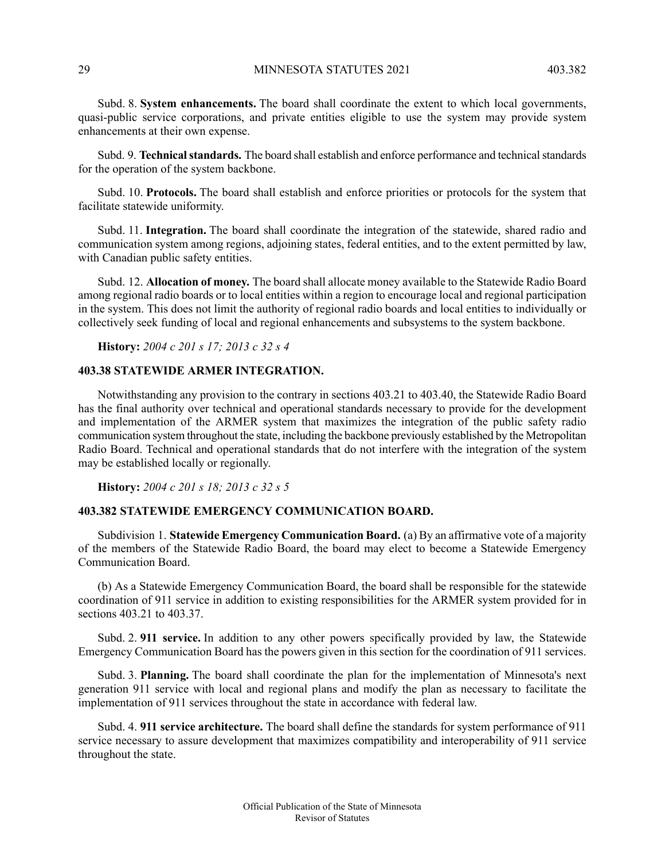Subd. 8. **System enhancements.** The board shall coordinate the extent to which local governments, quasi-public service corporations, and private entities eligible to use the system may provide system enhancements at their own expense.

Subd. 9. **Technical standards.** The board shall establish and enforce performance and technical standards for the operation of the system backbone.

Subd. 10. **Protocols.** The board shall establish and enforce priorities or protocols for the system that facilitate statewide uniformity.

Subd. 11. **Integration.** The board shall coordinate the integration of the statewide, shared radio and communication system among regions, adjoining states, federal entities, and to the extent permitted by law, with Canadian public safety entities.

<span id="page-28-0"></span>Subd. 12. **Allocation of money.** The board shall allocate money available to the Statewide Radio Board among regional radio boards or to local entities within a region to encourage local and regional participation in the system. This does not limit the authority of regional radio boards and local entities to individually or collectively seek funding of local and regional enhancements and subsystems to the system backbone.

**History:** *2004 c 201 s 17; 2013 c 32 s 4*

# **403.38 STATEWIDE ARMER INTEGRATION.**

<span id="page-28-1"></span>Notwithstanding any provision to the contrary in sections 403.21 to 403.40, the Statewide Radio Board has the final authority over technical and operational standards necessary to provide for the development and implementation of the ARMER system that maximizes the integration of the public safety radio communication system throughout the state, including the backbone previously established by the Metropolitan Radio Board. Technical and operational standards that do not interfere with the integration of the system may be established locally or regionally.

**History:** *2004 c 201 s 18; 2013 c 32 s 5*

### **403.382 STATEWIDE EMERGENCY COMMUNICATION BOARD.**

Subdivision 1. **Statewide Emergency Communication Board.** (a) By an affirmative vote of a majority of the members of the Statewide Radio Board, the board may elect to become a Statewide Emergency Communication Board.

(b) As a Statewide Emergency Communication Board, the board shall be responsible for the statewide coordination of 911 service in addition to existing responsibilities for the ARMER system provided for in sections 403.21 to 403.37.

Subd. 2. **911 service.** In addition to any other powers specifically provided by law, the Statewide Emergency Communication Board has the powers given in this section for the coordination of 911 services.

Subd. 3. **Planning.** The board shall coordinate the plan for the implementation of Minnesota's next generation 911 service with local and regional plans and modify the plan as necessary to facilitate the implementation of 911 services throughout the state in accordance with federal law.

Subd. 4. **911 service architecture.** The board shall define the standards for system performance of 911 service necessary to assure development that maximizes compatibility and interoperability of 911 service throughout the state.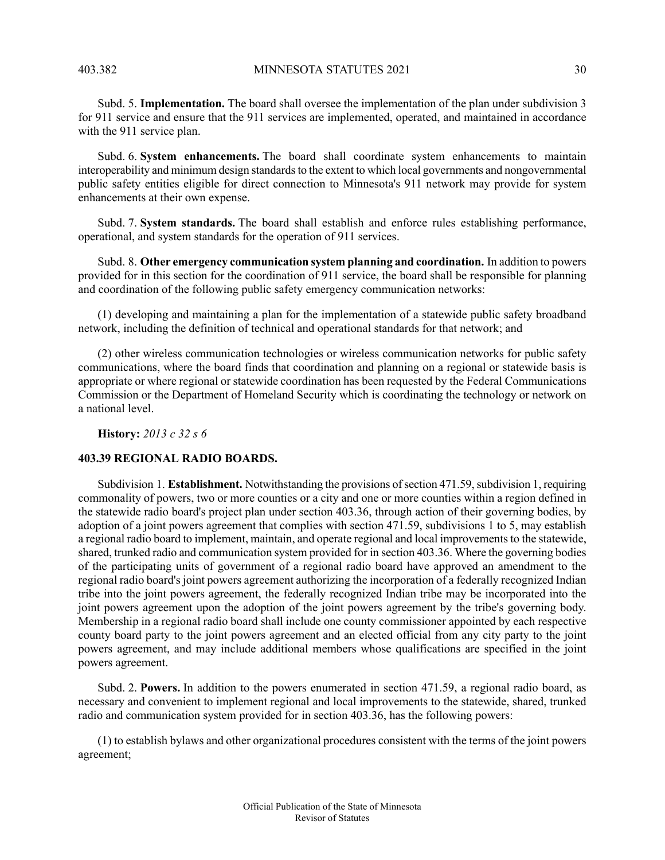Subd. 5. **Implementation.** The board shall oversee the implementation of the plan under subdivision 3 for 911 service and ensure that the 911 services are implemented, operated, and maintained in accordance with the 911 service plan.

Subd. 6. **System enhancements.** The board shall coordinate system enhancements to maintain interoperability and minimum design standards to the extent to which local governments and nongovernmental public safety entities eligible for direct connection to Minnesota's 911 network may provide for system enhancements at their own expense.

Subd. 7. **System standards.** The board shall establish and enforce rules establishing performance, operational, and system standards for the operation of 911 services.

Subd. 8. **Other emergency communication system planning and coordination.** In addition to powers provided for in this section for the coordination of 911 service, the board shall be responsible for planning and coordination of the following public safety emergency communication networks:

(1) developing and maintaining a plan for the implementation of a statewide public safety broadband network, including the definition of technical and operational standards for that network; and

<span id="page-29-0"></span>(2) other wireless communication technologies or wireless communication networks for public safety communications, where the board finds that coordination and planning on a regional or statewide basis is appropriate or where regional or statewide coordination has been requested by the Federal Communications Commission or the Department of Homeland Security which is coordinating the technology or network on a national level.

**History:** *2013 c 32 s 6*

### **403.39 REGIONAL RADIO BOARDS.**

Subdivision 1. **Establishment.** Notwithstanding the provisions of section 471.59, subdivision 1, requiring commonality of powers, two or more counties or a city and one or more counties within a region defined in the statewide radio board's project plan under section 403.36, through action of their governing bodies, by adoption of a joint powers agreement that complies with section 471.59, subdivisions 1 to 5, may establish a regional radio board to implement, maintain, and operate regional and local improvements to the statewide, shared, trunked radio and communication system provided for in section 403.36. Where the governing bodies of the participating units of government of a regional radio board have approved an amendment to the regional radio board's joint powers agreement authorizing the incorporation of a federally recognized Indian tribe into the joint powers agreement, the federally recognized Indian tribe may be incorporated into the joint powers agreement upon the adoption of the joint powers agreement by the tribe's governing body. Membership in a regional radio board shall include one county commissioner appointed by each respective county board party to the joint powers agreement and an elected official from any city party to the joint powers agreement, and may include additional members whose qualifications are specified in the joint powers agreement.

Subd. 2. **Powers.** In addition to the powers enumerated in section 471.59, a regional radio board, as necessary and convenient to implement regional and local improvements to the statewide, shared, trunked radio and communication system provided for in section 403.36, has the following powers:

(1) to establish bylaws and other organizational procedures consistent with the terms of the joint powers agreement;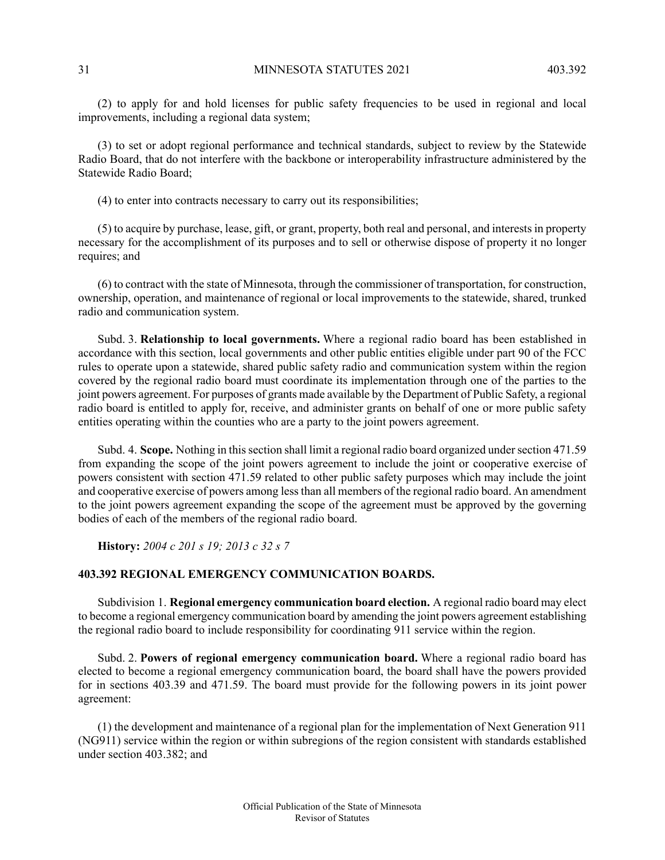(2) to apply for and hold licenses for public safety frequencies to be used in regional and local improvements, including a regional data system;

(3) to set or adopt regional performance and technical standards, subject to review by the Statewide Radio Board, that do not interfere with the backbone or interoperability infrastructure administered by the Statewide Radio Board;

(4) to enter into contracts necessary to carry out its responsibilities;

(5) to acquire by purchase, lease, gift, or grant, property, both real and personal, and interests in property necessary for the accomplishment of its purposes and to sell or otherwise dispose of property it no longer requires; and

(6) to contract with the state of Minnesota, through the commissioner of transportation, for construction, ownership, operation, and maintenance of regional or local improvements to the statewide, shared, trunked radio and communication system.

Subd. 3. **Relationship to local governments.** Where a regional radio board has been established in accordance with this section, local governments and other public entities eligible under part 90 of the FCC rules to operate upon a statewide, shared public safety radio and communication system within the region covered by the regional radio board must coordinate its implementation through one of the parties to the joint powers agreement. For purposes of grants made available by the Department of Public Safety, a regional radio board is entitled to apply for, receive, and administer grants on behalf of one or more public safety entities operating within the counties who are a party to the joint powers agreement.

<span id="page-30-0"></span>Subd. 4. **Scope.** Nothing in thissection shall limit a regional radio board organized undersection 471.59 from expanding the scope of the joint powers agreement to include the joint or cooperative exercise of powers consistent with section 471.59 related to other public safety purposes which may include the joint and cooperative exercise of powers among lessthan all members of the regional radio board. An amendment to the joint powers agreement expanding the scope of the agreement must be approved by the governing bodies of each of the members of the regional radio board.

**History:** *2004 c 201 s 19; 2013 c 32 s 7*

# **403.392 REGIONAL EMERGENCY COMMUNICATION BOARDS.**

Subdivision 1. **Regional emergency communication board election.** A regional radio board may elect to become a regional emergency communication board by amending the joint powers agreement establishing the regional radio board to include responsibility for coordinating 911 service within the region.

Subd. 2. **Powers of regional emergency communication board.** Where a regional radio board has elected to become a regional emergency communication board, the board shall have the powers provided for in sections 403.39 and 471.59. The board must provide for the following powers in its joint power agreement:

(1) the development and maintenance of a regional plan for the implementation of Next Generation 911 (NG911) service within the region or within subregions of the region consistent with standards established under section 403.382; and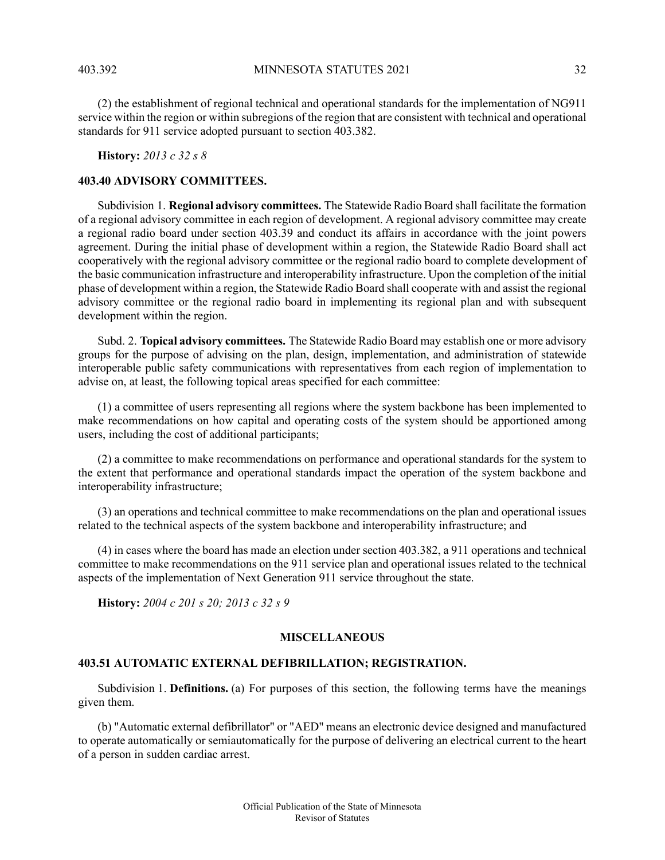(2) the establishment of regional technical and operational standards for the implementation of NG911 service within the region or within subregions of the region that are consistent with technical and operational standards for 911 service adopted pursuant to section 403.382.

<span id="page-31-0"></span>**History:** *2013 c 32 s 8*

### **403.40 ADVISORY COMMITTEES.**

Subdivision 1. **Regional advisory committees.** The Statewide Radio Board shall facilitate the formation of a regional advisory committee in each region of development. A regional advisory committee may create a regional radio board under section 403.39 and conduct its affairs in accordance with the joint powers agreement. During the initial phase of development within a region, the Statewide Radio Board shall act cooperatively with the regional advisory committee or the regional radio board to complete development of the basic communication infrastructure and interoperability infrastructure. Upon the completion of the initial phase of development within a region, the Statewide Radio Board shall cooperate with and assist the regional advisory committee or the regional radio board in implementing its regional plan and with subsequent development within the region.

Subd. 2. **Topical advisory committees.** The Statewide Radio Board may establish one or more advisory groups for the purpose of advising on the plan, design, implementation, and administration of statewide interoperable public safety communications with representatives from each region of implementation to advise on, at least, the following topical areas specified for each committee:

(1) a committee of users representing all regions where the system backbone has been implemented to make recommendations on how capital and operating costs of the system should be apportioned among users, including the cost of additional participants;

(2) a committee to make recommendations on performance and operational standards for the system to the extent that performance and operational standards impact the operation of the system backbone and interoperability infrastructure;

(3) an operations and technical committee to make recommendations on the plan and operational issues related to the technical aspects of the system backbone and interoperability infrastructure; and

<span id="page-31-2"></span><span id="page-31-1"></span>(4) in cases where the board has made an election under section 403.382, a 911 operations and technical committee to make recommendations on the 911 service plan and operational issues related to the technical aspects of the implementation of Next Generation 911 service throughout the state.

**History:** *2004 c 201 s 20; 2013 c 32 s 9*

### **MISCELLANEOUS**

### **403.51 AUTOMATIC EXTERNAL DEFIBRILLATION; REGISTRATION.**

Subdivision 1. **Definitions.** (a) For purposes of this section, the following terms have the meanings given them.

(b) "Automatic external defibrillator" or "AED" means an electronic device designed and manufactured to operate automatically or semiautomatically for the purpose of delivering an electrical current to the heart of a person in sudden cardiac arrest.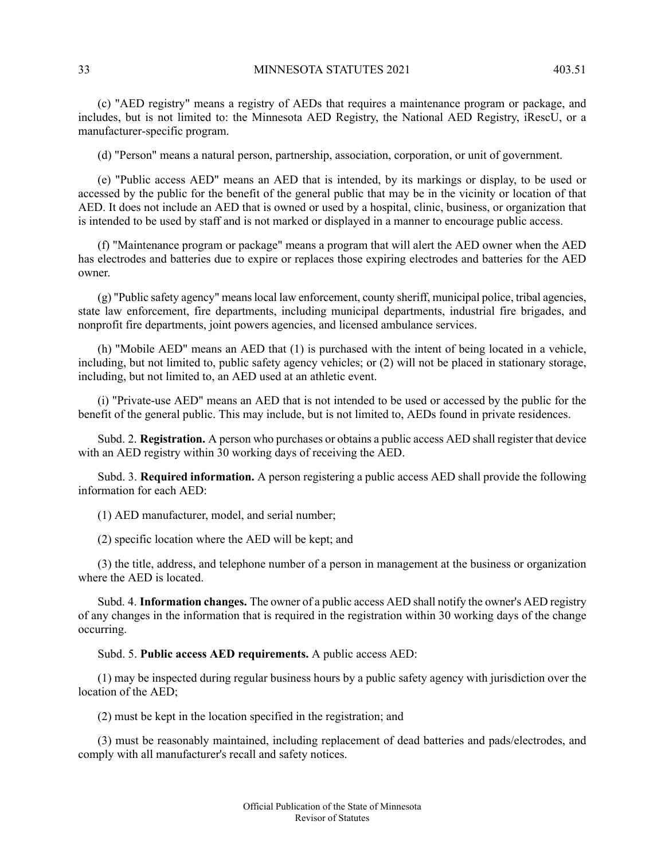(c) "AED registry" means a registry of AEDs that requires a maintenance program or package, and includes, but is not limited to: the Minnesota AED Registry, the National AED Registry, iRescU, or a manufacturer-specific program.

(d) "Person" means a natural person, partnership, association, corporation, or unit of government.

(e) "Public access AED" means an AED that is intended, by its markings or display, to be used or accessed by the public for the benefit of the general public that may be in the vicinity or location of that AED. It does not include an AED that is owned or used by a hospital, clinic, business, or organization that is intended to be used by staff and is not marked or displayed in a manner to encourage public access.

(f) "Maintenance program or package" means a program that will alert the AED owner when the AED has electrodes and batteries due to expire or replaces those expiring electrodes and batteries for the AED owner.

(g) "Public safety agency" meanslocal law enforcement, county sheriff, municipal police, tribal agencies, state law enforcement, fire departments, including municipal departments, industrial fire brigades, and nonprofit fire departments, joint powers agencies, and licensed ambulance services.

(h) "Mobile AED" means an AED that (1) is purchased with the intent of being located in a vehicle, including, but not limited to, public safety agency vehicles; or (2) will not be placed in stationary storage, including, but not limited to, an AED used at an athletic event.

(i) "Private-use AED" means an AED that is not intended to be used or accessed by the public for the benefit of the general public. This may include, but is not limited to, AEDs found in private residences.

Subd. 2. **Registration.** A person who purchases or obtains a public access AED shall register that device with an AED registry within 30 working days of receiving the AED.

Subd. 3. **Required information.** A person registering a public access AED shall provide the following information for each AED:

(1) AED manufacturer, model, and serial number;

(2) specific location where the AED will be kept; and

(3) the title, address, and telephone number of a person in management at the business or organization where the AED is located.

Subd. 4. **Information changes.** The owner of a public access AED shall notify the owner's AED registry of any changes in the information that is required in the registration within 30 working days of the change occurring.

Subd. 5. **Public access AED requirements.** A public access AED:

(1) may be inspected during regular business hours by a public safety agency with jurisdiction over the location of the AED;

(2) must be kept in the location specified in the registration; and

(3) must be reasonably maintained, including replacement of dead batteries and pads/electrodes, and comply with all manufacturer's recall and safety notices.